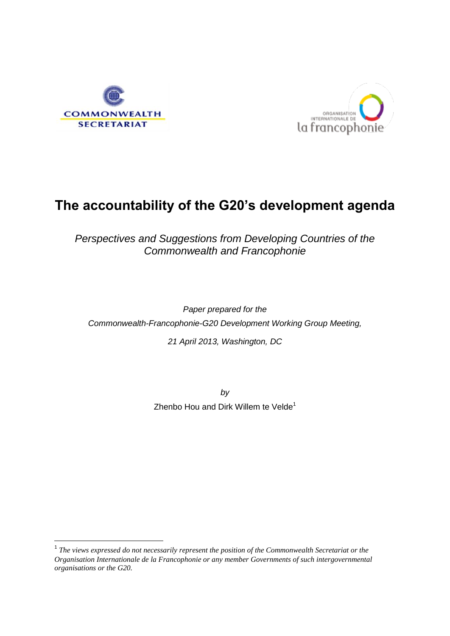

**.** 



# **The accountability of the G20's development agenda**

*Perspectives and Suggestions from Developing Countries of the Commonwealth and Francophonie*

*Paper prepared for the Commonwealth-Francophonie-G20 Development Working Group Meeting,* 

*21 April 2013, Washington, DC*

*by* Zhenbo Hou and Dirk Willem te Velde<sup>1</sup>

<sup>&</sup>lt;sup>1</sup> The views expressed do not necessarily represent the position of the Commonwealth Secretariat or the *Organisation Internationale de la Francophonie or any member Governments of such intergovernmental organisations or the G20.*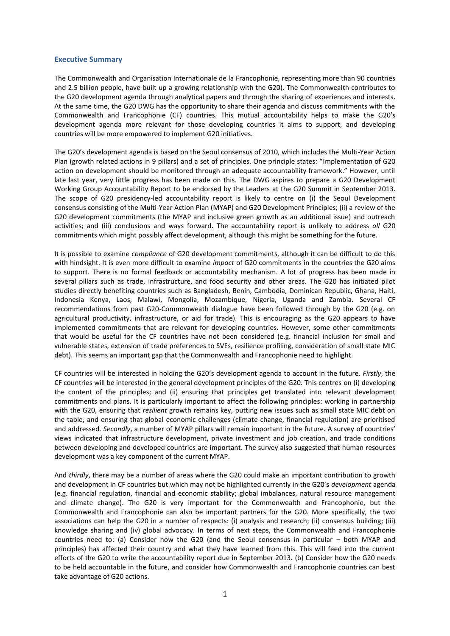#### <span id="page-1-0"></span>**Executive Summary**

The Commonwealth and Organisation Internationale de la Francophonie, representing more than 90 countries and 2.5 billion people, have built up a growing relationship with the G20). The Commonwealth contributes to the G20 development agenda through analytical papers and through the sharing of experiences and interests. At the same time, the G20 DWG has the opportunity to share their agenda and discuss commitments with the Commonwealth and Francophonie (CF) countries. This mutual accountability helps to make the G20's development agenda more relevant for those developing countries it aims to support, and developing countries will be more empowered to implement G20 initiatives.

The G20's development agenda is based on the Seoul consensus of 2010, which includes the Multi-Year Action Plan (growth related actions in 9 pillars) and a set of principles. One principle states: "Implementation of G20 action on development should be monitored through an adequate accountability framework." However, until late last year, very little progress has been made on this. The DWG aspires to prepare a G20 Development Working Group Accountability Report to be endorsed by the Leaders at the G20 Summit in September 2013. The scope of G20 presidency-led accountability report is likely to centre on (i) the Seoul Development consensus consisting of the Multi-Year Action Plan (MYAP) and G20 Development Principles; (ii) a review of the G20 development commitments (the MYAP and inclusive green growth as an additional issue) and outreach activities; and (iii) conclusions and ways forward. The accountability report is unlikely to address *all* G20 commitments which might possibly affect development, although this might be something for the future.

It is possible to examine *compliance* of G20 development commitments, although it can be difficult to do this with hindsight. It is even more difficult to examine *impact* of G20 commitments in the countries the G20 aims to support. There is no formal feedback or accountability mechanism. A lot of progress has been made in several pillars such as trade, infrastructure, and food security and other areas. The G20 has initiated pilot studies directly benefiting countries such as Bangladesh, Benin, Cambodia, Dominican Republic, Ghana, Haiti, Indonesia Kenya, Laos, Malawi, Mongolia, Mozambique, Nigeria, Uganda and Zambia. Several CF recommendations from past G20-Commonweath dialogue have been followed through by the G20 (e.g. on agricultural productivity, infrastructure, or aid for trade). This is encouraging as the G20 appears to have implemented commitments that are relevant for developing countries. However, some other commitments that would be useful for the CF countries have not been considered (e.g. financial inclusion for small and vulnerable states, extension of trade preferences to SVEs, resilience profiling, consideration of small state MIC debt). This seems an important gap that the Commonwealth and Francophonie need to highlight.

CF countries will be interested in holding the G20's development agenda to account in the future. *Firstly*, the CF countries will be interested in the general development principles of the G20. This centres on (i) developing the content of the principles; and (ii) ensuring that principles get translated into relevant development commitments and plans. It is particularly important to affect the following principles: working in partnership with the G20, ensuring that *resilient* growth remains key, putting new issues such as small state MIC debt on the table, and ensuring that global economic challenges (climate change, financial regulation) are prioritised and addressed. *Secondly*, a number of MYAP pillars will remain important in the future. A survey of countries' views indicated that infrastructure development, private investment and job creation, and trade conditions between developing and developed countries are important. The survey also suggested that human resources development was a key component of the current MYAP.

And *thirdly*, there may be a number of areas where the G20 could make an important contribution to growth and development in CF countries but which may not be highlighted currently in the G20's *development* agenda (e.g. financial regulation, financial and economic stability; global imbalances, natural resource management and climate change). The G20 is very important for the Commonwealth and Francophonie, but the Commonwealth and Francophonie can also be important partners for the G20. More specifically, the two associations can help the G20 in a number of respects: (i) analysis and research; (ii) consensus building; (iii) knowledge sharing and (iv) global advocacy. In terms of next steps, the Commonwealth and Francophonie countries need to: (a) Consider how the G20 (and the Seoul consensus in particular – both MYAP and principles) has affected their country and what they have learned from this. This will feed into the current efforts of the G20 to write the accountability report due in September 2013. (b) Consider how the G20 needs to be held accountable in the future, and consider how Commonwealth and Francophonie countries can best take advantage of G20 actions.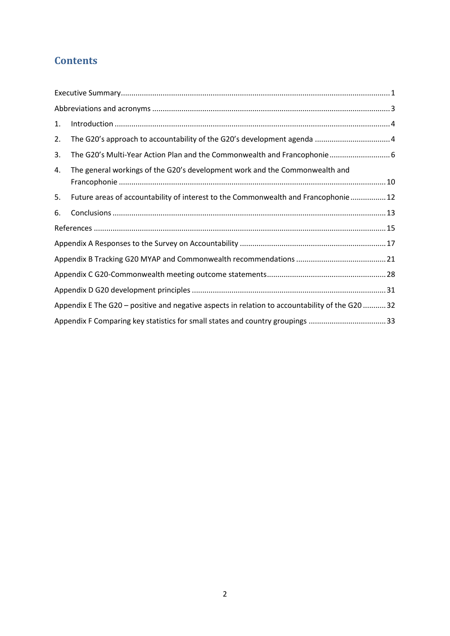# **Contents**

| 1.                                                                                              |                                                                                    |  |  |  |  |
|-------------------------------------------------------------------------------------------------|------------------------------------------------------------------------------------|--|--|--|--|
| 2.                                                                                              |                                                                                    |  |  |  |  |
| 3.                                                                                              | The G20's Multi-Year Action Plan and the Commonwealth and Francophonie 6           |  |  |  |  |
| 4.                                                                                              | The general workings of the G20's development work and the Commonwealth and        |  |  |  |  |
| 5.                                                                                              | Future areas of accountability of interest to the Commonwealth and Francophonie 12 |  |  |  |  |
| 6.                                                                                              |                                                                                    |  |  |  |  |
|                                                                                                 |                                                                                    |  |  |  |  |
|                                                                                                 |                                                                                    |  |  |  |  |
|                                                                                                 |                                                                                    |  |  |  |  |
|                                                                                                 |                                                                                    |  |  |  |  |
|                                                                                                 |                                                                                    |  |  |  |  |
| Appendix E The G20 - positive and negative aspects in relation to accountability of the G20  32 |                                                                                    |  |  |  |  |
|                                                                                                 | Appendix F Comparing key statistics for small states and country groupings 33      |  |  |  |  |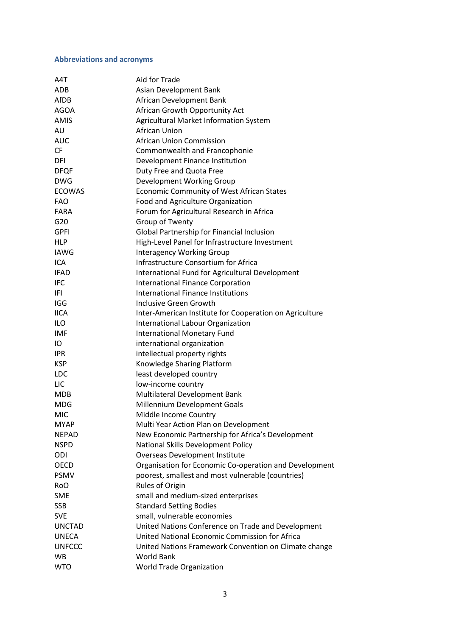# <span id="page-3-0"></span>**Abbreviations and acronyms**

| A4T           | Aid for Trade                                           |
|---------------|---------------------------------------------------------|
| ADB           | Asian Development Bank                                  |
| AfDB          | African Development Bank                                |
| <b>AGOA</b>   | African Growth Opportunity Act                          |
| <b>AMIS</b>   | Agricultural Market Information System                  |
| AU            | African Union                                           |
| <b>AUC</b>    | <b>African Union Commission</b>                         |
| <b>CF</b>     | Commonwealth and Francophonie                           |
| DFI           | Development Finance Institution                         |
| <b>DFQF</b>   | Duty Free and Quota Free                                |
| <b>DWG</b>    | Development Working Group                               |
| <b>ECOWAS</b> | <b>Economic Community of West African States</b>        |
| <b>FAO</b>    | Food and Agriculture Organization                       |
| <b>FARA</b>   | Forum for Agricultural Research in Africa               |
| G20           | Group of Twenty                                         |
| <b>GPFI</b>   | Global Partnership for Financial Inclusion              |
| <b>HLP</b>    | High-Level Panel for Infrastructure Investment          |
| <b>IAWG</b>   | <b>Interagency Working Group</b>                        |
| ICA           | Infrastructure Consortium for Africa                    |
| <b>IFAD</b>   | International Fund for Agricultural Development         |
| <b>IFC</b>    | <b>International Finance Corporation</b>                |
| IFI           | <b>International Finance Institutions</b>               |
| <b>IGG</b>    | Inclusive Green Growth                                  |
| <b>IICA</b>   | Inter-American Institute for Cooperation on Agriculture |
| <b>ILO</b>    | International Labour Organization                       |
| <b>IMF</b>    | <b>International Monetary Fund</b>                      |
| IO            | international organization                              |
| <b>IPR</b>    | intellectual property rights                            |
| <b>KSP</b>    | Knowledge Sharing Platform                              |
| <b>LDC</b>    | least developed country                                 |
| LIC           | low-income country                                      |
| <b>MDB</b>    | Multilateral Development Bank                           |
| <b>MDG</b>    | Millennium Development Goals                            |
| <b>MIC</b>    | Middle Income Country                                   |
| <b>MYAP</b>   | Multi Year Action Plan on Development                   |
| <b>NEPAD</b>  | New Economic Partnership for Africa's Development       |
| <b>NSPD</b>   | National Skills Development Policy                      |
| ODI           | <b>Overseas Development Institute</b>                   |
| <b>OECD</b>   | Organisation for Economic Co-operation and Development  |
| <b>PSMV</b>   | poorest, smallest and most vulnerable (countries)       |
| <b>RoO</b>    | Rules of Origin                                         |
| <b>SME</b>    | small and medium-sized enterprises                      |
| <b>SSB</b>    | <b>Standard Setting Bodies</b>                          |
| <b>SVE</b>    | small, vulnerable economies                             |
| <b>UNCTAD</b> | United Nations Conference on Trade and Development      |
| <b>UNECA</b>  | United National Economic Commission for Africa          |
| <b>UNFCCC</b> | United Nations Framework Convention on Climate change   |
| <b>WB</b>     | <b>World Bank</b>                                       |
| <b>WTO</b>    | <b>World Trade Organization</b>                         |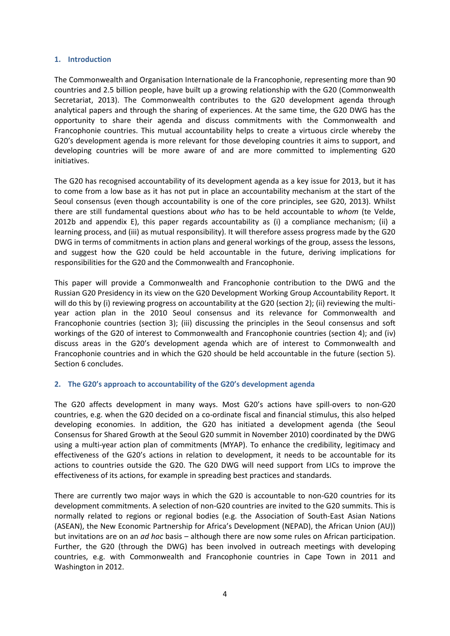#### <span id="page-4-0"></span>**1. Introduction**

The Commonwealth and Organisation Internationale de la Francophonie, representing more than 90 countries and 2.5 billion people, have built up a growing relationship with the G20 (Commonwealth Secretariat, 2013). The Commonwealth contributes to the G20 development agenda through analytical papers and through the sharing of experiences. At the same time, the G20 DWG has the opportunity to share their agenda and discuss commitments with the Commonwealth and Francophonie countries. This mutual accountability helps to create a virtuous circle whereby the G20's development agenda is more relevant for those developing countries it aims to support, and developing countries will be more aware of and are more committed to implementing G20 initiatives.

The G20 has recognised accountability of its development agenda as a key issue for 2013, but it has to come from a low base as it has not put in place an accountability mechanism at the start of the Seoul consensus (even though accountability is one of the core principles, see G20, 2013). Whilst there are still fundamental questions about *who* has to be held accountable to *whom* (te Velde, 2012b and appendix E), this paper regards accountability as (i) a compliance mechanism; (ii) a learning process, and (iii) as mutual responsibility). It will therefore assess progress made by the G20 DWG in terms of commitments in action plans and general workings of the group, assess the lessons, and suggest how the G20 could be held accountable in the future, deriving implications for responsibilities for the G20 and the Commonwealth and Francophonie.

This paper will provide a Commonwealth and Francophonie contribution to the DWG and the Russian G20 Presidency in its view on the G20 Development Working Group Accountability Report. It will do this by (i) reviewing progress on accountability at the G20 (section 2); (ii) reviewing the multiyear action plan in the 2010 Seoul consensus and its relevance for Commonwealth and Francophonie countries (section 3); (iii) discussing the principles in the Seoul consensus and soft workings of the G20 of interest to Commonwealth and Francophonie countries (section 4); and (iv) discuss areas in the G20's development agenda which are of interest to Commonwealth and Francophonie countries and in which the G20 should be held accountable in the future (section 5). Section 6 concludes.

#### <span id="page-4-1"></span>**2. The G20's approach to accountability of the G20's development agenda**

The G20 affects development in many ways. Most G20's actions have spill-overs to non-G20 countries, e.g. when the G20 decided on a co-ordinate fiscal and financial stimulus, this also helped developing economies. In addition, the G20 has initiated a development agenda (the Seoul Consensus for Shared Growth at the Seoul G20 summit in November 2010) coordinated by the DWG using a multi-year action plan of commitments (MYAP). To enhance the credibility, legitimacy and effectiveness of the G20's actions in relation to development, it needs to be accountable for its actions to countries outside the G20. The G20 DWG will need support from LICs to improve the effectiveness of its actions, for example in spreading best practices and standards.

There are currently two major ways in which the G20 is accountable to non-G20 countries for its development commitments. A selection of non-G20 countries are invited to the G20 summits. This is normally related to regions or regional bodies (e.g. the Association of South-East Asian Nations (ASEAN), the New Economic Partnership for Africa's Development (NEPAD), the African Union (AU)) but invitations are on an *ad hoc* basis – although there are now some rules on African participation. Further, the G20 (through the DWG) has been involved in outreach meetings with developing countries, e.g. with Commonwealth and Francophonie countries in Cape Town in 2011 and Washington in 2012.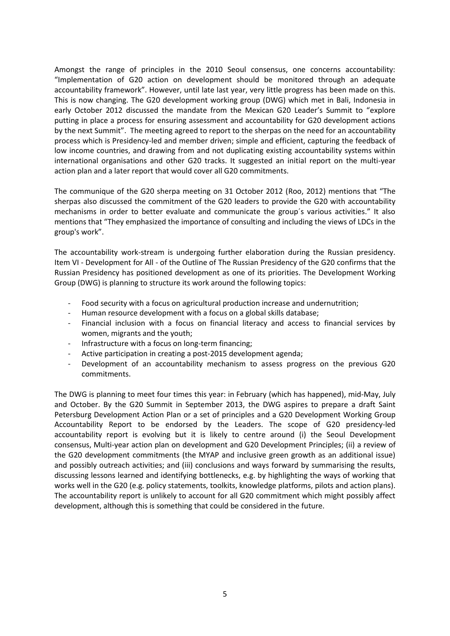Amongst the range of principles in the 2010 Seoul consensus, one concerns accountability: "Implementation of G20 action on development should be monitored through an adequate accountability framework". However, until late last year, very little progress has been made on this. This is now changing. The G20 development working group (DWG) which met in Bali, Indonesia in early October 2012 discussed the mandate from the Mexican G20 Leader's Summit to "explore putting in place a process for ensuring assessment and accountability for G20 development actions by the next Summit". The meeting agreed to report to the sherpas on the need for an accountability process which is Presidency-led and member driven; simple and efficient, capturing the feedback of low income countries, and drawing from and not duplicating existing accountability systems within international organisations and other G20 tracks. It suggested an initial report on the multi-year action plan and a later report that would cover all G20 commitments.

The communique of the G20 sherpa meeting on 31 October 2012 (Roo, 2012) mentions that "The sherpas also discussed the commitment of the G20 leaders to provide the G20 with accountability mechanisms in order to better evaluate and communicate the group´s various activities." It also mentions that "They emphasized the importance of consulting and including the views of LDCs in the group's work".

The accountability work-stream is undergoing further elaboration during the Russian presidency. Item VI - Development for All - of the Outline of The Russian Presidency of the G20 confirms that the Russian Presidency has positioned development as one of its priorities. The Development Working Group (DWG) is planning to structure its work around the following topics:

- Food security with a focus on agricultural production increase and undernutrition;
- Human resource development with a focus on a global skills database;
- Financial inclusion with a focus on financial literacy and access to financial services by women, migrants and the youth;
- Infrastructure with a focus on long-term financing;
- Active participation in creating a post-2015 development agenda;
- Development of an accountability mechanism to assess progress on the previous G20 commitments.

The DWG is planning to meet four times this year: in February (which has happened), mid-May, July and October. By the G20 Summit in September 2013, the DWG aspires to prepare a draft Saint Petersburg Development Action Plan or a set of principles and a G20 Development Working Group Accountability Report to be endorsed by the Leaders. The scope of G20 presidency-led accountability report is evolving but it is likely to centre around (i) the Seoul Development consensus, Multi-year action plan on development and G20 Development Principles; (ii) a review of the G20 development commitments (the MYAP and inclusive green growth as an additional issue) and possibly outreach activities; and (iii) conclusions and ways forward by summarising the results, discussing lessons learned and identifying bottlenecks, e.g. by highlighting the ways of working that works well in the G20 (e.g. policy statements, toolkits, knowledge platforms, pilots and action plans). The accountability report is unlikely to account for all G20 commitment which might possibly affect development, although this is something that could be considered in the future.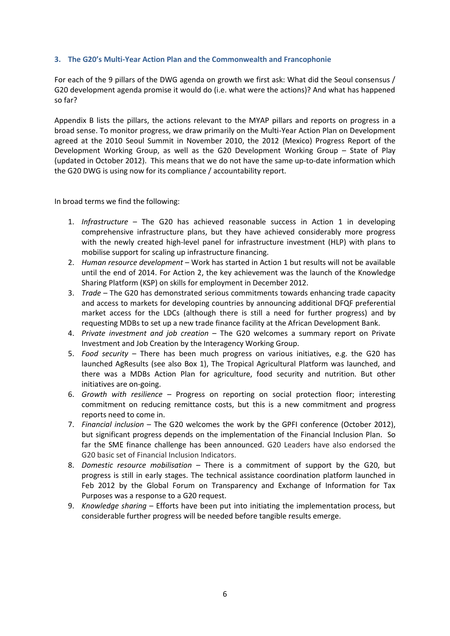#### <span id="page-6-0"></span>**3. The G20's Multi-Year Action Plan and the Commonwealth and Francophonie**

For each of the 9 pillars of the DWG agenda on growth we first ask: What did the Seoul consensus / G20 development agenda promise it would do (i.e. what were the actions)? And what has happened so far?

Appendix B lists the pillars, the actions relevant to the MYAP pillars and reports on progress in a broad sense. To monitor progress, we draw primarily on the Multi-Year Action Plan on Development agreed at the 2010 Seoul Summit in November 2010, the 2012 (Mexico) Progress Report of the Development Working Group, as well as the G20 Development Working Group – State of Play (updated in October 2012). This means that we do not have the same up-to-date information which the G20 DWG is using now for its compliance / accountability report.

In broad terms we find the following:

- 1. *Infrastructure* The G20 has achieved reasonable success in Action 1 in developing comprehensive infrastructure plans, but they have achieved considerably more progress with the newly created high-level panel for infrastructure investment (HLP) with plans to mobilise support for scaling up infrastructure financing.
- 2. *Human resource development* Work has started in Action 1 but results will not be available until the end of 2014. For Action 2, the key achievement was the launch of the Knowledge Sharing Platform (KSP) on skills for employment in December 2012.
- 3. *Trade* The G20 has demonstrated serious commitments towards enhancing trade capacity and access to markets for developing countries by announcing additional DFQF preferential market access for the LDCs (although there is still a need for further progress) and by requesting MDBs to set up a new trade finance facility at the African Development Bank.
- 4. *Private investment and job creation* The G20 welcomes a summary report on Private Investment and Job Creation by the Interagency Working Group.
- 5. *Food security* There has been much progress on various initiatives, e.g. the G20 has launched AgResults (see also Box 1), The Tropical Agricultural Platform was launched, and there was a MDBs Action Plan for agriculture, food security and nutrition. But other initiatives are on-going.
- 6. *Growth with resilience* Progress on reporting on social protection floor; interesting commitment on reducing remittance costs, but this is a new commitment and progress reports need to come in.
- 7. *Financial inclusion* The G20 welcomes the work by the GPFI conference (October 2012), but significant progress depends on the implementation of the Financial Inclusion Plan. So far the SME finance challenge has been announced. G20 Leaders have also endorsed the G20 basic set of Financial Inclusion Indicators.
- 8. *Domestic resource mobilisation* There is a commitment of support by the G20, but progress is still in early stages. The technical assistance coordination platform launched in Feb 2012 by the Global Forum on Transparency and Exchange of Information for Tax Purposes was a response to a G20 request.
- 9. *Knowledge sharing* Efforts have been put into initiating the implementation process, but considerable further progress will be needed before tangible results emerge.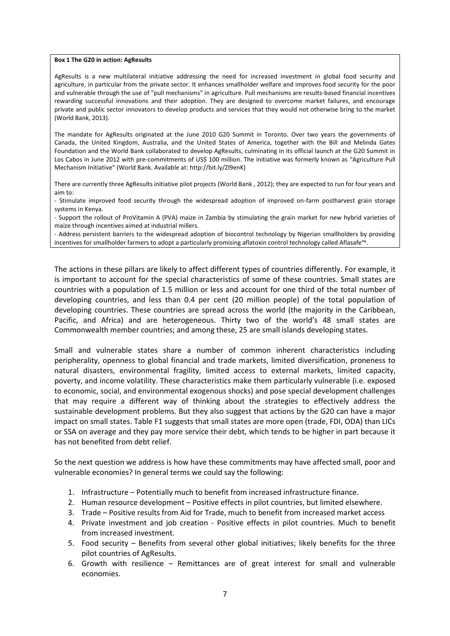#### **Box 1 The G20 in action: AgResults**

AgResults is a new multilateral initiative addressing the need for increased investment in global food security and agriculture, in particular from the private sector. It enhances smallholder welfare and improves food security for the poor and vulnerable through the use of "pull mechanisms" in agriculture. Pull mechanisms are results-based financial incentives rewarding successful innovations and their adoption. They are designed to overcome market failures, and encourage private and public sector innovators to develop products and services that they would not otherwise bring to the market (World Bank, 2013).

The mandate for AgResults originated at the June 2010 G20 Summit in Toronto. Over two years the governments of Canada, the United Kingdom, Australia, and the United States of America, together with the Bill and Melinda Gates Foundation and the World Bank collaborated to develop AgResults, culminating in its official launch at the G20 Summit in Los Cabos in June 2012 with pre-commitments of US\$ 100 million. The initiative was formerly known as "Agriculture Pull Mechanism Initiative" (World Bank. Available at: http://bit.ly/Zl9enK)

There are currently three AgResults initiative pilot projects (World Bank , 2012); they are expected to run for four years and aim to:

- Stimulate improved food security through the widespread adoption of improved on-farm postharvest grain storage systems in Kenya.

- Support the rollout of ProVitamin A (PVA) maize in Zambia by stimulating the grain market for new hybrid varieties of maize through incentives aimed at industrial millers.

- Address persistent barriers to the widespread adoption of biocontrol technology by Nigerian smallholders by providing incentives for smallholder farmers to adopt a particularly promising aflatoxin control technology called Aflasafe™.

The actions in these pillars are likely to affect different types of countries differently. For example, it is important to account for the special characteristics of some of these countries. Small states are countries with a population of 1.5 million or less and account for one third of the total number of developing countries, and less than 0.4 per cent (20 million people) of the total population of developing countries. These countries are spread across the world (the majority in the Caribbean, Pacific, and Africa) and are heterogeneous. Thirty two of the world's 48 small states are Commonwealth member countries; and among these, 25 are small islands developing states.

Small and vulnerable states share a number of common inherent characteristics including peripherality, openness to global financial and trade markets, limited diversification, proneness to natural disasters, environmental fragility, limited access to external markets, limited capacity, poverty, and income volatility. These characteristics make them particularly vulnerable (i.e. exposed to economic, social, and environmental exogenous shocks) and pose special development challenges that may require a different way of thinking about the strategies to effectively address the sustainable development problems. But they also suggest that actions by the G20 can have a major impact on small states. Table F1 suggests that small states are more open (trade, FDI, ODA) than LICs or SSA on average and they pay more service their debt, which tends to be higher in part because it has not benefited from debt relief.

So the next question we address is how have these commitments may have affected small, poor and vulnerable economies? In general terms we could say the following:

- 1. Infrastructure Potentially much to benefit from increased infrastructure finance.
- 2. Human resource development Positive effects in pilot countries, but limited elsewhere.
- 3. Trade Positive results from Aid for Trade, much to benefit from increased market access
- 4. Private investment and job creation Positive effects in pilot countries. Much to benefit from increased investment.
- 5. Food security Benefits from several other global initiatives; likely benefits for the three pilot countries of AgResults.
- 6. Growth with resilience Remittances are of great interest for small and vulnerable economies.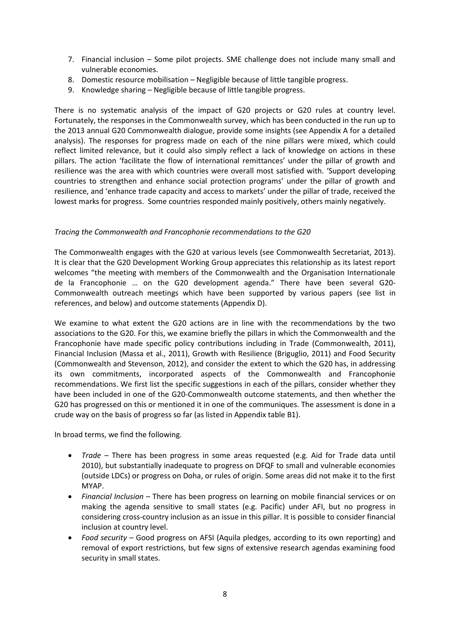- 7. Financial inclusion Some pilot projects. SME challenge does not include many small and vulnerable economies.
- 8. Domestic resource mobilisation Negligible because of little tangible progress.
- 9. Knowledge sharing Negligible because of little tangible progress.

There is no systematic analysis of the impact of G20 projects or G20 rules at country level. Fortunately, the responses in the Commonwealth survey, which has been conducted in the run up to the 2013 annual G20 Commonwealth dialogue, provide some insights (see Appendix A for a detailed analysis). The responses for progress made on each of the nine pillars were mixed, which could reflect limited relevance, but it could also simply reflect a lack of knowledge on actions in these pillars. The action 'facilitate the flow of international remittances' under the pillar of growth and resilience was the area with which countries were overall most satisfied with. 'Support developing countries to strengthen and enhance social protection programs' under the pillar of growth and resilience, and 'enhance trade capacity and access to markets' under the pillar of trade, received the lowest marks for progress. Some countries responded mainly positively, others mainly negatively.

#### *Tracing the Commonwealth and Francophonie recommendations to the G20*

The Commonwealth engages with the G20 at various levels (see Commonwealth Secretariat, 2013). It is clear that the G20 Development Working Group appreciates this relationship as its latest report welcomes "the meeting with members of the Commonwealth and the Organisation Internationale de la Francophonie … on the G20 development agenda." There have been several G20- Commonwealth outreach meetings which have been supported by various papers (see list in references, and below) and outcome statements (Appendix D).

We examine to what extent the G20 actions are in line with the recommendations by the two associations to the G20. For this, we examine briefly the pillars in which the Commonwealth and the Francophonie have made specific policy contributions including in Trade (Commonwealth, 2011), Financial Inclusion (Massa et al., 2011), Growth with Resilience (Briguglio, 2011) and Food Security (Commonwealth and Stevenson, 2012), and consider the extent to which the G20 has, in addressing its own commitments, incorporated aspects of the Commonwealth and Francophonie recommendations. We first list the specific suggestions in each of the pillars, consider whether they have been included in one of the G20-Commonwealth outcome statements, and then whether the G20 has progressed on this or mentioned it in one of the communiques. The assessment is done in a crude way on the basis of progress so far (as listed in Appendix table B1).

In broad terms, we find the following.

- *Trade* There has been progress in some areas requested (e.g. Aid for Trade data until 2010), but substantially inadequate to progress on DFQF to small and vulnerable economies (outside LDCs) or progress on Doha, or rules of origin. Some areas did not make it to the first MYAP.
- *Financial Inclusion* There has been progress on learning on mobile financial services or on making the agenda sensitive to small states (e.g. Pacific) under AFI, but no progress in considering cross-country inclusion as an issue in this pillar. It is possible to consider financial inclusion at country level.
- *Food security* Good progress on AFSI (Aquila pledges, according to its own reporting) and removal of export restrictions, but few signs of extensive research agendas examining food security in small states.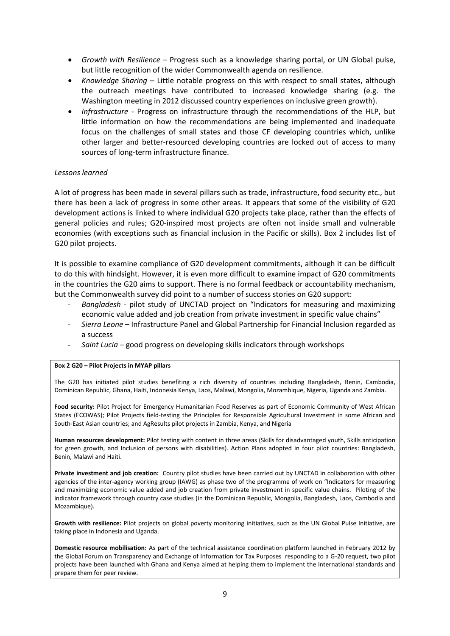- *Growth with Resilience* Progress such as a knowledge sharing portal, or UN Global pulse, but little recognition of the wider Commonwealth agenda on resilience.
- *Knowledge Sharing –* Little notable progress on this with respect to small states, although the outreach meetings have contributed to increased knowledge sharing (e.g. the Washington meeting in 2012 discussed country experiences on inclusive green growth).
- *Infrastructure* Progress on infrastructure through the recommendations of the HLP, but little information on how the recommendations are being implemented and inadequate focus on the challenges of small states and those CF developing countries which, unlike other larger and better-resourced developing countries are locked out of access to many sources of long-term infrastructure finance.

#### *Lessons learned*

A lot of progress has been made in several pillars such as trade, infrastructure, food security etc., but there has been a lack of progress in some other areas. It appears that some of the visibility of G20 development actions is linked to where individual G20 projects take place, rather than the effects of general policies and rules; G20-inspired most projects are often not inside small and vulnerable economies (with exceptions such as financial inclusion in the Pacific or skills). Box 2 includes list of G20 pilot projects.

It is possible to examine compliance of G20 development commitments, although it can be difficult to do this with hindsight. However, it is even more difficult to examine impact of G20 commitments in the countries the G20 aims to support. There is no formal feedback or accountability mechanism, but the Commonwealth survey did point to a number of success stories on G20 support:

- *Bangladesh* pilot study of UNCTAD project on "Indicators for measuring and maximizing economic value added and job creation from private investment in specific value chains"
- *Sierra Leone* Infrastructure Panel and Global Partnership for Financial Inclusion regarded as a success
- *Saint Lucia* good progress on developing skills indicators through workshops

#### **Box 2 G20 – Pilot Projects in MYAP pillars**

The G20 has initiated pilot studies benefiting a rich diversity of countries including Bangladesh, Benin, Cambodia, Dominican Republic, Ghana, Haiti, Indonesia Kenya, Laos, Malawi, Mongolia, Mozambique, Nigeria, Uganda and Zambia.

Food security: Pilot Project for Emergency Humanitarian Food Reserves as part of Economic Community of West African States (ECOWAS); Pilot Projects field-testing the Principles for Responsible Agricultural Investment in some African and South-East Asian countries; and AgResults pilot projects in Zambia, Kenya, and Nigeria

**Human resources development:** Pilot testing with content in three areas (Skills for disadvantaged youth, Skills anticipation for green growth, and Inclusion of persons with disabilities). Action Plans adopted in four pilot countries: Bangladesh, Benin, Malawi and Haiti.

**Private investment and job creation:** Country pilot studies have been carried out by UNCTAD in collaboration with other agencies of the inter-agency working group (IAWG) as phase two of the programme of work on "Indicators for measuring and maximizing economic value added and job creation from private investment in specific value chains. Piloting of the indicator framework through country case studies (in the Dominican Republic, Mongolia, Bangladesh, Laos, Cambodia and Mozambique).

**Growth with resilience:** Pilot projects on global poverty monitoring initiatives, such as the UN Global Pulse Initiative, are taking place in Indonesia and Uganda.

**Domestic resource mobilisation:** As part of the technical assistance coordination platform launched in February 2012 by the Global Forum on Transparency and Exchange of Information for Tax Purposes responding to a G-20 request, two pilot projects have been launched with Ghana and Kenya aimed at helping them to implement the international standards and prepare them for peer review.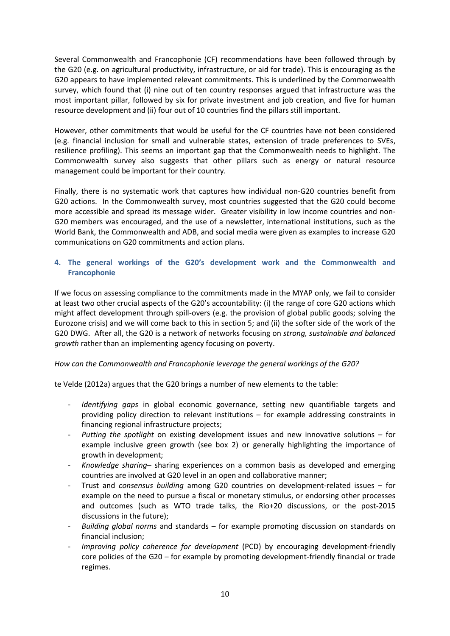Several Commonwealth and Francophonie (CF) recommendations have been followed through by the G20 (e.g. on agricultural productivity, infrastructure, or aid for trade). This is encouraging as the G20 appears to have implemented relevant commitments. This is underlined by the Commonwealth survey, which found that (i) nine out of ten country responses argued that infrastructure was the most important pillar, followed by six for private investment and job creation, and five for human resource development and (ii) four out of 10 countries find the pillars still important.

However, other commitments that would be useful for the CF countries have not been considered (e.g. financial inclusion for small and vulnerable states, extension of trade preferences to SVEs, resilience profiling). This seems an important gap that the Commonwealth needs to highlight. The Commonwealth survey also suggests that other pillars such as energy or natural resource management could be important for their country.

Finally, there is no systematic work that captures how individual non-G20 countries benefit from G20 actions. In the Commonwealth survey, most countries suggested that the G20 could become more accessible and spread its message wider. Greater visibility in low income countries and non-G20 members was encouraged, and the use of a newsletter, international institutions, such as the World Bank, the Commonwealth and ADB, and social media were given as examples to increase G20 communications on G20 commitments and action plans.

### <span id="page-10-0"></span>**4. The general workings of the G20's development work and the Commonwealth and Francophonie**

If we focus on assessing compliance to the commitments made in the MYAP only, we fail to consider at least two other crucial aspects of the G20's accountability: (i) the range of core G20 actions which might affect development through spill-overs (e.g. the provision of global public goods; solving the Eurozone crisis) and we will come back to this in section 5; and (ii) the softer side of the work of the G20 DWG. After all, the G20 is a network of networks focusing on *strong, sustainable and balanced growth* rather than an implementing agency focusing on poverty.

### *How can the Commonwealth and Francophonie leverage the general workings of the G20?*

te Velde (2012a) argues that the G20 brings a number of new elements to the table:

- *Identifying gaps* in global economic governance, setting new quantifiable targets and providing policy direction to relevant institutions – for example addressing constraints in financing regional infrastructure projects;
- *Putting the spotlight* on existing development issues and new innovative solutions for example inclusive green growth (see box 2) or generally highlighting the importance of growth in development;
- *Knowledge sharing* sharing experiences on a common basis as developed and emerging countries are involved at G20 level in an open and collaborative manner;
- Trust and *consensus building* among G20 countries on development-related issues for example on the need to pursue a fiscal or monetary stimulus, or endorsing other processes and outcomes (such as WTO trade talks, the Rio+20 discussions, or the post-2015 discussions in the future);
- *Building global norms* and standards for example promoting discussion on standards on financial inclusion;
- *Improving policy coherence for development* (PCD) by encouraging development-friendly core policies of the G20 – for example by promoting development-friendly financial or trade regimes.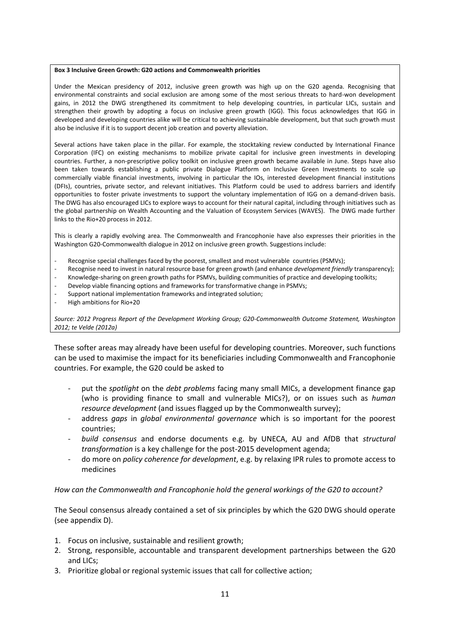#### **Box 3 Inclusive Green Growth: G20 actions and Commonwealth priorities**

Under the Mexican presidency of 2012, inclusive green growth was high up on the G20 agenda. Recognising that environmental constraints and social exclusion are among some of the most serious threats to hard-won development gains, in 2012 the DWG strengthened its commitment to help developing countries, in particular LICs, sustain and strengthen their growth by adopting a focus on inclusive green growth (IGG). This focus acknowledges that IGG in developed and developing countries alike will be critical to achieving sustainable development, but that such growth must also be inclusive if it is to support decent job creation and poverty alleviation.

Several actions have taken place in the pillar. For example, the stocktaking review conducted by International Finance Corporation (IFC) on existing mechanisms to mobilize private capital for inclusive green investments in developing countries. Further, a non-prescriptive policy toolkit on inclusive green growth became available in June. Steps have also been taken towards establishing a public private Dialogue Platform on Inclusive Green Investments to scale up commercially viable financial investments, involving in particular the IOs, interested development financial institutions (DFIs), countries, private sector, and relevant initiatives. This Platform could be used to address barriers and identify opportunities to foster private investments to support the voluntary implementation of IGG on a demand-driven basis. The DWG has also encouraged LICs to explore ways to account for their natural capital, including through initiatives such as the global partnership on Wealth Accounting and the Valuation of Ecosystem Services (WAVES). The DWG made further links to the Rio+20 process in 2012.

This is clearly a rapidly evolving area. The Commonwealth and Francophonie have also expresses their priorities in the Washington G20-Commonwealth dialogue in 2012 on inclusive green growth. Suggestions include:

- Recognise special challenges faced by the poorest, smallest and most vulnerable countries (PSMVs);
- Recognise need to invest in natural resource base for green growth (and enhance *development friendly* transparency);
- Knowledge-sharing on green growth paths for PSMVs, building communities of practice and developing toolkits;
- Develop viable financing options and frameworks for transformative change in PSMVs;
- Support national implementation frameworks and integrated solution;
- High ambitions for Rio+20

*Source: 2012 Progress Report of the Development Working Group; G20-Commonwealth Outcome Statement, Washington 2012; te Velde (2012a)*

These softer areas may already have been useful for developing countries. Moreover, such functions can be used to maximise the impact for its beneficiaries including Commonwealth and Francophonie countries. For example, the G20 could be asked to

- put the *spotlight* on the *debt problems* facing many small MICs, a development finance gap (who is providing finance to small and vulnerable MICs?), or on issues such as *human resource development* (and issues flagged up by the Commonwealth survey);
- address *gaps* in *global environmental governance* which is so important for the poorest countries;
- *build consensus* and endorse documents e.g. by UNECA, AU and AfDB that *structural transformation* is a key challenge for the post-2015 development agenda;
- do more on *policy coherence for development*, e.g. by relaxing IPR rules to promote access to medicines

#### *How can the Commonwealth and Francophonie hold the general workings of the G20 to account?*

The Seoul consensus already contained a set of six principles by which the G20 DWG should operate (see appendix D).

- 1. Focus on inclusive, sustainable and resilient growth;
- 2. Strong, responsible, accountable and transparent development partnerships between the G20 and LICs;
- 3. Prioritize global or regional systemic issues that call for collective action;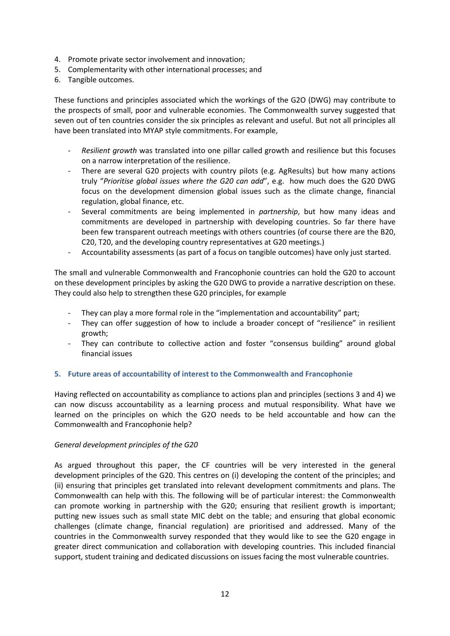- 4. Promote private sector involvement and innovation;
- 5. Complementarity with other international processes; and
- 6. Tangible outcomes.

These functions and principles associated which the workings of the G2O (DWG) may contribute to the prospects of small, poor and vulnerable economies. The Commonwealth survey suggested that seven out of ten countries consider the six principles as relevant and useful. But not all principles all have been translated into MYAP style commitments. For example,

- *Resilient growth* was translated into one pillar called growth and resilience but this focuses on a narrow interpretation of the resilience.
- There are several G20 projects with country pilots (e.g. AgResults) but how many actions truly "*Prioritise global issues where the G20 can add*", e.g. how much does the G20 DWG focus on the development dimension global issues such as the climate change, financial regulation, global finance, etc.
- Several commitments are being implemented in *partnership*, but how many ideas and commitments are developed in partnership with developing countries. So far there have been few transparent outreach meetings with others countries (of course there are the B20, C20, T20, and the developing country representatives at G20 meetings.)
- Accountability assessments (as part of a focus on tangible outcomes) have only just started.

The small and vulnerable Commonwealth and Francophonie countries can hold the G20 to account on these development principles by asking the G20 DWG to provide a narrative description on these. They could also help to strengthen these G20 principles, for example

- They can play a more formal role in the "implementation and accountability" part;
- They can offer suggestion of how to include a broader concept of "resilience" in resilient growth;
- They can contribute to collective action and foster "consensus building" around global financial issues

#### <span id="page-12-0"></span>**5. Future areas of accountability of interest to the Commonwealth and Francophonie**

Having reflected on accountability as compliance to actions plan and principles (sections 3 and 4) we can now discuss accountability as a learning process and mutual responsibility. What have we learned on the principles on which the G2O needs to be held accountable and how can the Commonwealth and Francophonie help?

#### *General development principles of the G20*

As argued throughout this paper, the CF countries will be very interested in the general development principles of the G20. This centres on (i) developing the content of the principles; and (ii) ensuring that principles get translated into relevant development commitments and plans. The Commonwealth can help with this. The following will be of particular interest: the Commonwealth can promote working in partnership with the G20; ensuring that resilient growth is important; putting new issues such as small state MIC debt on the table; and ensuring that global economic challenges (climate change, financial regulation) are prioritised and addressed. Many of the countries in the Commonwealth survey responded that they would like to see the G20 engage in greater direct communication and collaboration with developing countries. This included financial support, student training and dedicated discussions on issues facing the most vulnerable countries.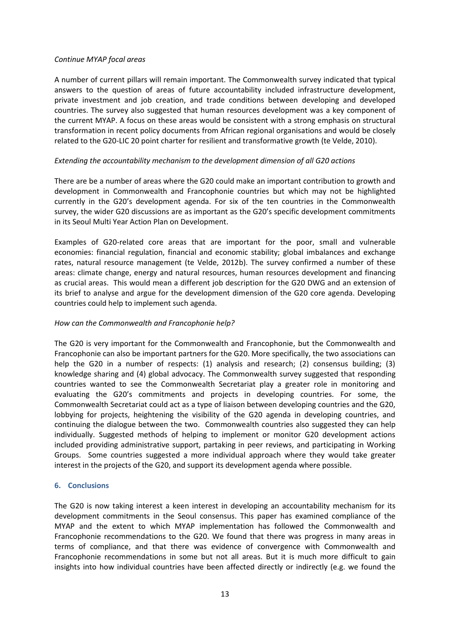#### *Continue MYAP focal areas*

A number of current pillars will remain important. The Commonwealth survey indicated that typical answers to the question of areas of future accountability included infrastructure development, private investment and job creation, and trade conditions between developing and developed countries. The survey also suggested that human resources development was a key component of the current MYAP. A focus on these areas would be consistent with a strong emphasis on structural transformation in recent policy documents from African regional organisations and would be closely related to the G20-LIC 20 point charter for resilient and transformative growth (te Velde, 2010).

### *Extending the accountability mechanism to the development dimension of all G20 actions*

There are be a number of areas where the G20 could make an important contribution to growth and development in Commonwealth and Francophonie countries but which may not be highlighted currently in the G20's development agenda. For six of the ten countries in the Commonwealth survey, the wider G20 discussions are as important as the G20's specific development commitments in its Seoul Multi Year Action Plan on Development.

Examples of G20-related core areas that are important for the poor, small and vulnerable economies: financial regulation, financial and economic stability; global imbalances and exchange rates, natural resource management (te Velde, 2012b). The survey confirmed a number of these areas: climate change, energy and natural resources, human resources development and financing as crucial areas. This would mean a different job description for the G20 DWG and an extension of its brief to analyse and argue for the development dimension of the G20 core agenda. Developing countries could help to implement such agenda.

### *How can the Commonwealth and Francophonie help?*

The G20 is very important for the Commonwealth and Francophonie, but the Commonwealth and Francophonie can also be important partners for the G20. More specifically, the two associations can help the G20 in a number of respects: (1) analysis and research; (2) consensus building; (3) knowledge sharing and (4) global advocacy. The Commonwealth survey suggested that responding countries wanted to see the Commonwealth Secretariat play a greater role in monitoring and evaluating the G20's commitments and projects in developing countries. For some, the Commonwealth Secretariat could act as a type of liaison between developing countries and the G20, lobbying for projects, heightening the visibility of the G20 agenda in developing countries, and continuing the dialogue between the two. Commonwealth countries also suggested they can help individually. Suggested methods of helping to implement or monitor G20 development actions included providing administrative support, partaking in peer reviews, and participating in Working Groups. Some countries suggested a more individual approach where they would take greater interest in the projects of the G20, and support its development agenda where possible.

#### <span id="page-13-0"></span>**6. Conclusions**

The G20 is now taking interest a keen interest in developing an accountability mechanism for its development commitments in the Seoul consensus. This paper has examined compliance of the MYAP and the extent to which MYAP implementation has followed the Commonwealth and Francophonie recommendations to the G20. We found that there was progress in many areas in terms of compliance, and that there was evidence of convergence with Commonwealth and Francophonie recommendations in some but not all areas. But it is much more difficult to gain insights into how individual countries have been affected directly or indirectly (e.g. we found the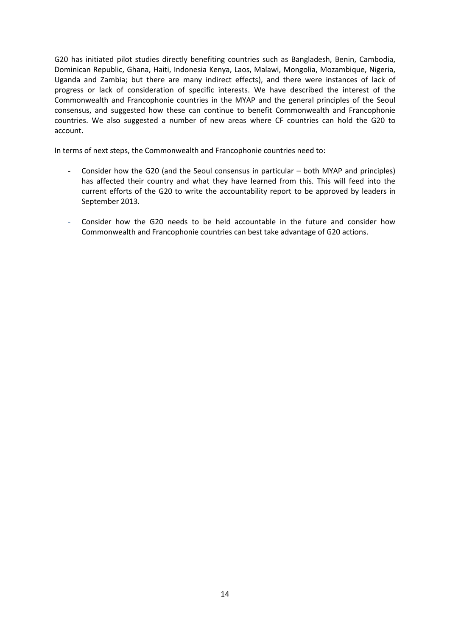G20 has initiated pilot studies directly benefiting countries such as Bangladesh, Benin, Cambodia, Dominican Republic, Ghana, Haiti, Indonesia Kenya, Laos, Malawi, Mongolia, Mozambique, Nigeria, Uganda and Zambia; but there are many indirect effects), and there were instances of lack of progress or lack of consideration of specific interests. We have described the interest of the Commonwealth and Francophonie countries in the MYAP and the general principles of the Seoul consensus, and suggested how these can continue to benefit Commonwealth and Francophonie countries. We also suggested a number of new areas where CF countries can hold the G20 to account.

In terms of next steps, the Commonwealth and Francophonie countries need to:

- Consider how the G20 (and the Seoul consensus in particular both MYAP and principles) has affected their country and what they have learned from this. This will feed into the current efforts of the G20 to write the accountability report to be approved by leaders in September 2013.
- Consider how the G20 needs to be held accountable in the future and consider how Commonwealth and Francophonie countries can best take advantage of G20 actions.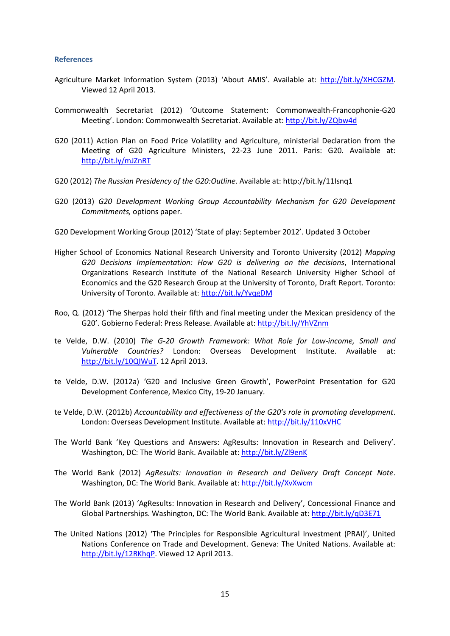#### <span id="page-15-0"></span>**References**

- Agriculture Market Information System (2013) 'About AMIS'. Available at: [http://bit.ly/XHCGZM.](http://bit.ly/XHCGZM) Viewed 12 April 2013.
- Commonwealth Secretariat (2012) 'Outcome Statement: Commonwealth-Francophonie-G20 Meeting'. London: Commonwealth Secretariat. Available at:<http://bit.ly/ZQbw4d>
- G20 (2011) Action Plan on Food Price Volatility and Agriculture, ministerial Declaration from the Meeting of G20 Agriculture Ministers, 22-23 June 2011. Paris: G20. Available at: <http://bit.ly/mJZnRT>
- G20 (2012) *The Russian Presidency of the G20:Outline*. Available at: http://bit.ly/11Isnq1
- G20 (2013) *G20 Development Working Group Accountability Mechanism for G20 Development Commitments,* options paper.
- G20 Development Working Group (2012) 'State of play: September 2012'. Updated 3 October
- Higher School of Economics National Research University and Toronto University (2012) *Mapping G20 Decisions Implementation: How G20 is delivering on the decisions*, International Organizations Research Institute of the National Research University Higher School of Economics and the G20 Research Group at the University of Toronto, Draft Report. Toronto: University of Toronto. Available at:<http://bit.ly/YvqgDM>
- Roo, Q. (2012) 'The Sherpas hold their fifth and final meeting under the Mexican presidency of the G20'. Gobierno Federal: Press Release. Available at: <http://bit.ly/YhVZnm>
- te Velde, D.W. (2010) *The G-20 Growth Framework: What Role for Low-income, Small and Vulnerable Countries?* London: Overseas Development Institute. Available at: [http://bit.ly/10QIWuT.](http://bit.ly/10QIWuT) 12 April 2013.
- te Velde, D.W. (2012a) 'G20 and Inclusive Green Growth', PowerPoint Presentation for G20 Development Conference, Mexico City, 19-20 January.
- te Velde, D.W. (2012b) *Accountability and effectiveness of the G20's role in promoting development*. London: Overseas Development Institute. Available at: <http://bit.ly/110xVHC>
- The World Bank 'Key Questions and Answers: AgResults: Innovation in Research and Delivery'. Washington, DC: The World Bank. Available at:<http://bit.ly/Zl9enK>
- The World Bank (2012) *AgResults: Innovation in Research and Delivery Draft Concept Note*. Washington, DC: The World Bank. Available at:<http://bit.ly/XvXwcm>
- The World Bank (2013) 'AgResults: Innovation in Research and Delivery', Concessional Finance and Global Partnerships. Washington, DC: The World Bank. Available at:<http://bit.ly/qD3E71>
- The United Nations (2012) 'The Principles for Responsible Agricultural Investment (PRAI)', United Nations Conference on Trade and Development. Geneva: The United Nations. Available at: [http://bit.ly/12RKhqP.](http://bit.ly/12RKhqP) Viewed 12 April 2013.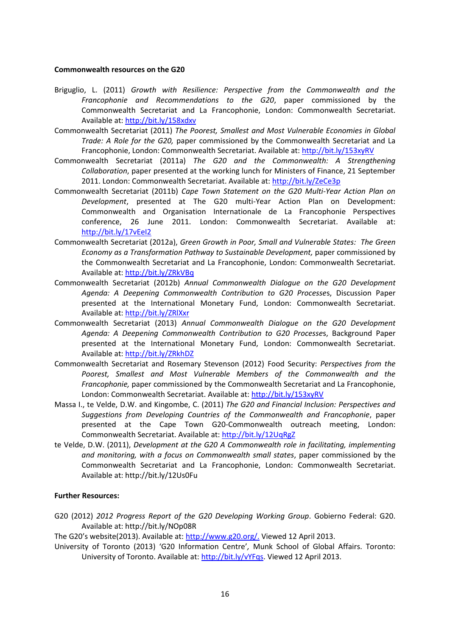#### **Commonwealth resources on the G20**

- Briguglio, L. (2011) *Growth with Resilience: Perspective from the Commonwealth and the Francophonie and Recommendations to the G20*, paper commissioned by the Commonwealth Secretariat and La Francophonie, London: Commonwealth Secretariat. Available at[: http://bit.ly/158xdxv](http://bit.ly/158xdxv)
- Commonwealth Secretariat (2011) *The Poorest, Smallest and Most Vulnerable Economies in Global Trade: A Role for the G20,* paper commissioned by the Commonwealth Secretariat and La Francophonie, London: Commonwealth Secretariat. Available at:<http://bit.ly/153xyRV>
- Commonwealth Secretariat (2011a) *The G20 and the Commonwealth: A Strengthening Collaboration*, paper presented at the working lunch for Ministers of Finance, 21 September 2011. London: Commonwealth Secretariat. Available at: <http://bit.ly/ZeCe3p>
- Commonwealth Secretariat (2011b) *Cape Town Statement on the G20 Multi-Year Action Plan on Development*, presented at The G20 multi-Year Action Plan on Development: Commonwealth and Organisation Internationale de La Francophonie Perspectives conference, 26 June 2011. London: Commonwealth Secretariat. Available at: <http://bit.ly/17vEeI2>
- Commonwealth Secretariat (2012a), *Green Growth in Poor, Small and Vulnerable States: The Green Economy as a Transformation Pathway to Sustainable Development,* paper commissioned by the Commonwealth Secretariat and La Francophonie, London: Commonwealth Secretariat. Available at[: http://bit.ly/ZRkVBq](http://bit.ly/ZRkVBq)
- Commonwealth Secretariat (2012b) *Annual Commonwealth Dialogue on the G20 Development Agenda: A Deepening Commonwealth Contribution to G20 Processe*s, Discussion Paper presented at the International Monetary Fund, London: Commonwealth Secretariat. Available at: <http://bit.ly/ZRlXxr>
- Commonwealth Secretariat (2013) *Annual Commonwealth Dialogue on the G20 Development Agenda: A Deepening Commonwealth Contribution to G20 Processe*s, Background Paper presented at the International Monetary Fund, London: Commonwealth Secretariat. Available at: <http://bit.ly/ZRkhDZ>
- Commonwealth Secretariat and Rosemary Stevenson (2012) Food Security: *Perspectives from the Poorest, Smallest and Most Vulnerable Members of the Commonwealth and the Francophonie,* paper commissioned by the Commonwealth Secretariat and La Francophonie, London: Commonwealth Secretariat. Available at: <http://bit.ly/153xyRV>
- Massa I., te Velde, D.W. and Kingombe, C. (2011) *The G20 and Financial Inclusion: Perspectives and Suggestions from Developing Countries of the Commonwealth and Francophonie*, paper presented at the Cape Town G20-Commonwealth outreach meeting, London: Commonwealth Secretariat. Available at[: http://bit.ly/12UqRgZ](http://bit.ly/12UqRgZ)
- te Velde, D.W. (2011), *Development at the G20 A Commonwealth role in facilitating, implementing and monitoring, with a focus on Commonwealth small states*, paper commissioned by the Commonwealth Secretariat and La Francophonie, London: Commonwealth Secretariat. Available at: http://bit.ly/12Us0Fu

#### **Further Resources:**

G20 (2012) *2012 Progress Report of the G20 Developing Working Group*. Gobierno Federal: G20. Available at: http://bit.ly/NOp08R

The G20's website(2013). Available at[: http://www.g20.org/.](http://www.g20.org/) Viewed 12 April 2013.

University of Toronto (2013) 'G20 Information Centre'*,* Munk School of Global Affairs. Toronto: University of Toronto. Available at: [http://bit.ly/vYFqs.](http://bit.ly/vYFqs) Viewed 12 April 2013.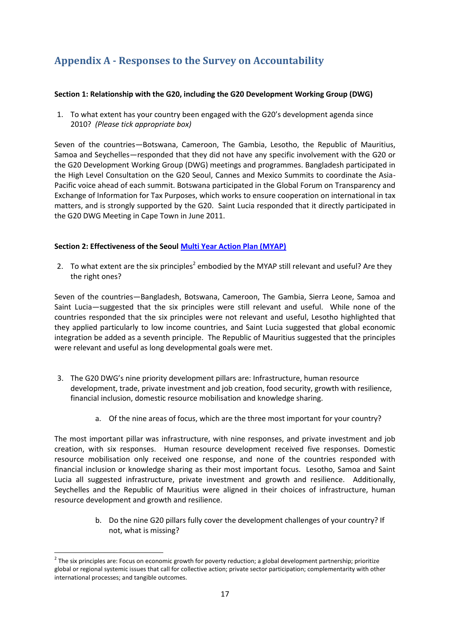# <span id="page-17-0"></span>**Appendix A - Responses to the Survey on Accountability**

#### **Section 1: Relationship with the G20, including the G20 Development Working Group (DWG)**

1. To what extent has your country been engaged with the G20's development agenda since 2010? *(Please tick appropriate box)*

Seven of the countries—Botswana, Cameroon, The Gambia, Lesotho, the Republic of Mauritius, Samoa and Seychelles—responded that they did not have any specific involvement with the G20 or the G20 Development Working Group (DWG) meetings and programmes. Bangladesh participated in the High Level Consultation on the G20 Seoul, Cannes and Mexico Summits to coordinate the Asia-Pacific voice ahead of each summit. Botswana participated in the Global Forum on Transparency and Exchange of Information for Tax Purposes, which works to ensure cooperation on international in tax matters, and is strongly supported by the G20. Saint Lucia responded that it directly participated in the G20 DWG Meeting in Cape Town in June 2011.

#### **Section 2: Effectiveness of the Seoul [Multi Year Action Plan \(MYAP\)](http://www.g20.utoronto.ca/2010/g20seoul-development.html)**

2. To what extent are the six principles<sup>2</sup> embodied by the MYAP still relevant and useful? Are they the right ones?

Seven of the countries—Bangladesh, Botswana, Cameroon, The Gambia, Sierra Leone, Samoa and Saint Lucia—suggested that the six principles were still relevant and useful. While none of the countries responded that the six principles were not relevant and useful, Lesotho highlighted that they applied particularly to low income countries, and Saint Lucia suggested that global economic integration be added as a seventh principle. The Republic of Mauritius suggested that the principles were relevant and useful as long developmental goals were met.

- 3. The G20 DWG's nine priority development pillars are: Infrastructure, human resource development, trade, private investment and job creation, food security, growth with resilience, financial inclusion, domestic resource mobilisation and knowledge sharing.
	- a. Of the nine areas of focus, which are the three most important for your country?

The most important pillar was infrastructure, with nine responses, and private investment and job creation, with six responses. Human resource development received five responses. Domestic resource mobilisation only received one response, and none of the countries responded with financial inclusion or knowledge sharing as their most important focus. Lesotho, Samoa and Saint Lucia all suggested infrastructure, private investment and growth and resilience. Additionally, Seychelles and the Republic of Mauritius were aligned in their choices of infrastructure, human resource development and growth and resilience.

> b. Do the nine G20 pillars fully cover the development challenges of your country? If not, what is missing?

<sup>1</sup>  $2$  The six principles are: Focus on economic growth for poverty reduction; a global development partnership; prioritize global or regional systemic issues that call for collective action; private sector participation; complementarity with other international processes; and tangible outcomes.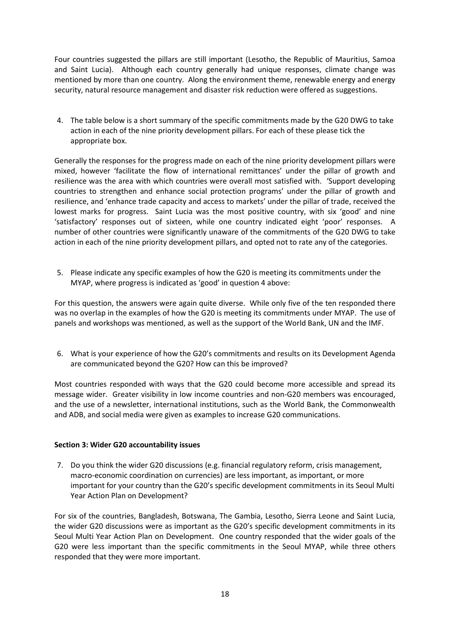Four countries suggested the pillars are still important (Lesotho, the Republic of Mauritius, Samoa and Saint Lucia). Although each country generally had unique responses, climate change was mentioned by more than one country. Along the environment theme, renewable energy and energy security, natural resource management and disaster risk reduction were offered as suggestions.

4. The table below is a short summary of the specific commitments made by the G20 DWG to take action in each of the nine priority development pillars. For each of these please tick the appropriate box.

Generally the responses for the progress made on each of the nine priority development pillars were mixed, however 'facilitate the flow of international remittances' under the pillar of growth and resilience was the area with which countries were overall most satisfied with. 'Support developing countries to strengthen and enhance social protection programs' under the pillar of growth and resilience, and 'enhance trade capacity and access to markets' under the pillar of trade, received the lowest marks for progress. Saint Lucia was the most positive country, with six 'good' and nine 'satisfactory' responses out of sixteen, while one country indicated eight 'poor' responses. A number of other countries were significantly unaware of the commitments of the G20 DWG to take action in each of the nine priority development pillars, and opted not to rate any of the categories.

5. Please indicate any specific examples of how the G20 is meeting its commitments under the MYAP, where progress is indicated as 'good' in question 4 above:

For this question, the answers were again quite diverse. While only five of the ten responded there was no overlap in the examples of how the G20 is meeting its commitments under MYAP. The use of panels and workshops was mentioned, as well as the support of the World Bank, UN and the IMF.

6. What is your experience of how the G20's commitments and results on its Development Agenda are communicated beyond the G20? How can this be improved?

Most countries responded with ways that the G20 could become more accessible and spread its message wider. Greater visibility in low income countries and non-G20 members was encouraged, and the use of a newsletter, international institutions, such as the World Bank, the Commonwealth and ADB, and social media were given as examples to increase G20 communications.

#### **Section 3: Wider G20 accountability issues**

7. Do you think the wider G20 discussions (e.g. financial regulatory reform, crisis management, macro-economic coordination on currencies) are less important, as important, or more important for your country than the G20's specific development commitments in its Seoul Multi Year Action Plan on Development?

For six of the countries, Bangladesh, Botswana, The Gambia, Lesotho, Sierra Leone and Saint Lucia, the wider G20 discussions were as important as the G20's specific development commitments in its Seoul Multi Year Action Plan on Development. One country responded that the wider goals of the G20 were less important than the specific commitments in the Seoul MYAP, while three others responded that they were more important.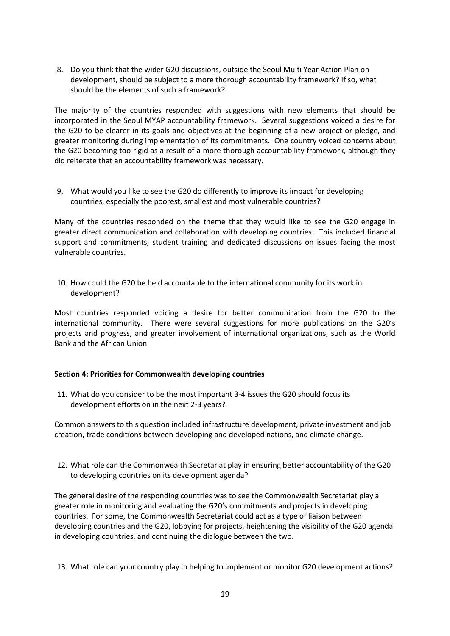8. Do you think that the wider G20 discussions, outside the Seoul Multi Year Action Plan on development, should be subject to a more thorough accountability framework? If so, what should be the elements of such a framework?

The majority of the countries responded with suggestions with new elements that should be incorporated in the Seoul MYAP accountability framework. Several suggestions voiced a desire for the G20 to be clearer in its goals and objectives at the beginning of a new project or pledge, and greater monitoring during implementation of its commitments. One country voiced concerns about the G20 becoming too rigid as a result of a more thorough accountability framework, although they did reiterate that an accountability framework was necessary.

9. What would you like to see the G20 do differently to improve its impact for developing countries, especially the poorest, smallest and most vulnerable countries?

Many of the countries responded on the theme that they would like to see the G20 engage in greater direct communication and collaboration with developing countries. This included financial support and commitments, student training and dedicated discussions on issues facing the most vulnerable countries.

10. How could the G20 be held accountable to the international community for its work in development?

Most countries responded voicing a desire for better communication from the G20 to the international community. There were several suggestions for more publications on the G20's projects and progress, and greater involvement of international organizations, such as the World Bank and the African Union.

#### **Section 4: Priorities for Commonwealth developing countries**

11. What do you consider to be the most important 3-4 issues the G20 should focus its development efforts on in the next 2-3 years?

Common answers to this question included infrastructure development, private investment and job creation, trade conditions between developing and developed nations, and climate change.

12. What role can the Commonwealth Secretariat play in ensuring better accountability of the G20 to developing countries on its development agenda?

The general desire of the responding countries was to see the Commonwealth Secretariat play a greater role in monitoring and evaluating the G20's commitments and projects in developing countries. For some, the Commonwealth Secretariat could act as a type of liaison between developing countries and the G20, lobbying for projects, heightening the visibility of the G20 agenda in developing countries, and continuing the dialogue between the two.

13. What role can your country play in helping to implement or monitor G20 development actions?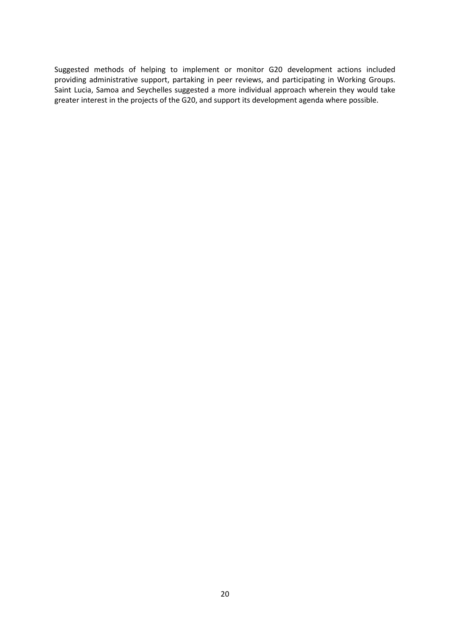Suggested methods of helping to implement or monitor G20 development actions included providing administrative support, partaking in peer reviews, and participating in Working Groups. Saint Lucia, Samoa and Seychelles suggested a more individual approach wherein they would take greater interest in the projects of the G20, and support its development agenda where possible.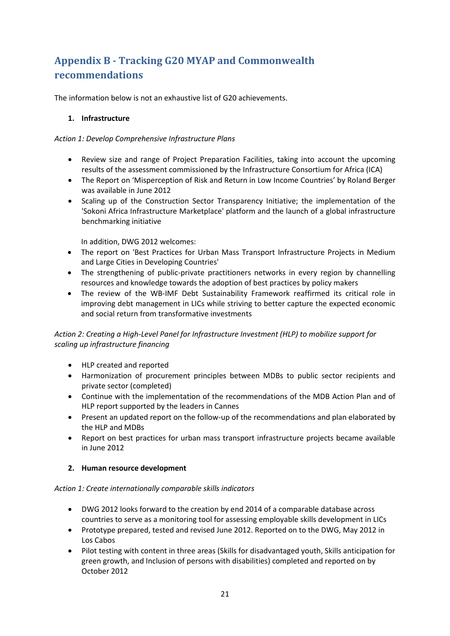# <span id="page-21-0"></span>**Appendix B - Tracking G20 MYAP and Commonwealth recommendations**

The information below is not an exhaustive list of G20 achievements.

#### **1. Infrastructure**

#### *Action 1: Develop Comprehensive Infrastructure Plans*

- Review size and range of Project Preparation Facilities, taking into account the upcoming results of the assessment commissioned by the Infrastructure Consortium for Africa (ICA)
- The Report on 'Misperception of Risk and Return in Low Income Countries' by Roland Berger was available in June 2012
- Scaling up of the Construction Sector Transparency Initiative; the implementation of the 'Sokoni Africa Infrastructure Marketplace' platform and the launch of a global infrastructure benchmarking initiative

In addition, DWG 2012 welcomes:

- The report on 'Best Practices for Urban Mass Transport Infrastructure Projects in Medium and Large Cities in Developing Countries'
- The strengthening of public-private practitioners networks in every region by channelling resources and knowledge towards the adoption of best practices by policy makers
- The review of the WB-IMF Debt Sustainability Framework reaffirmed its critical role in improving debt management in LICs while striving to better capture the expected economic and social return from transformative investments

## *Action 2: Creating a High-Level Panel for Infrastructure Investment (HLP) to mobilize support for scaling up infrastructure financing*

- HLP created and reported
- Harmonization of procurement principles between MDBs to public sector recipients and private sector (completed)
- Continue with the implementation of the recommendations of the MDB Action Plan and of HLP report supported by the leaders in Cannes
- Present an updated report on the follow-up of the recommendations and plan elaborated by the HLP and MDBs
- Report on best practices for urban mass transport infrastructure projects became available in June 2012

### **2. Human resource development**

#### *Action 1: Create internationally comparable skills indicators*

- DWG 2012 looks forward to the creation by end 2014 of a comparable database across countries to serve as a monitoring tool for assessing employable skills development in LICs
- Prototype prepared, tested and revised June 2012. Reported on to the DWG, May 2012 in Los Cabos
- Pilot testing with content in three areas (Skills for disadvantaged youth, Skills anticipation for green growth, and Inclusion of persons with disabilities) completed and reported on by October 2012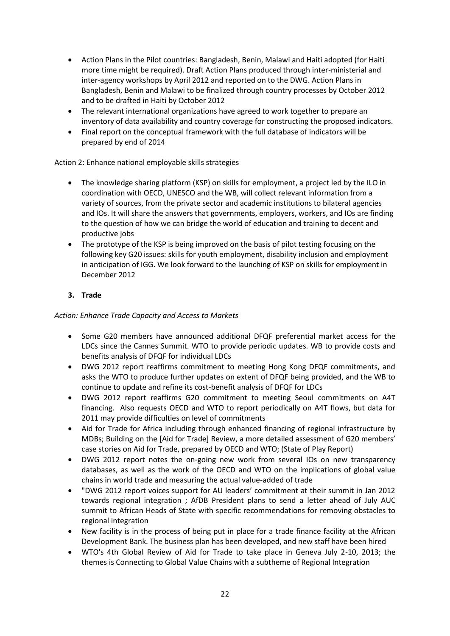- Action Plans in the Pilot countries: Bangladesh, Benin, Malawi and Haiti adopted (for Haiti more time might be required). Draft Action Plans produced through inter-ministerial and inter-agency workshops by April 2012 and reported on to the DWG. Action Plans in Bangladesh, Benin and Malawi to be finalized through country processes by October 2012 and to be drafted in Haiti by October 2012
- The relevant international organizations have agreed to work together to prepare an inventory of data availability and country coverage for constructing the proposed indicators.
- Final report on the conceptual framework with the full database of indicators will be prepared by end of 2014

### Action 2: Enhance national employable skills strategies

- The knowledge sharing platform (KSP) on skills for employment, a project led by the ILO in coordination with OECD, UNESCO and the WB, will collect relevant information from a variety of sources, from the private sector and academic institutions to bilateral agencies and IOs. It will share the answers that governments, employers, workers, and IOs are finding to the question of how we can bridge the world of education and training to decent and productive jobs
- The prototype of the KSP is being improved on the basis of pilot testing focusing on the following key G20 issues: skills for youth employment, disability inclusion and employment in anticipation of IGG. We look forward to the launching of KSP on skills for employment in December 2012

## **3. Trade**

### *Action: Enhance Trade Capacity and Access to Markets*

- Some G20 members have announced additional DFQF preferential market access for the LDCs since the Cannes Summit. WTO to provide periodic updates. WB to provide costs and benefits analysis of DFQF for individual LDCs
- DWG 2012 report reaffirms commitment to meeting Hong Kong DFQF commitments, and asks the WTO to produce further updates on extent of DFQF being provided, and the WB to continue to update and refine its cost-benefit analysis of DFQF for LDCs
- DWG 2012 report reaffirms G20 commitment to meeting Seoul commitments on A4T financing. Also requests OECD and WTO to report periodically on A4T flows, but data for 2011 may provide difficulties on level of commitments
- Aid for Trade for Africa including through enhanced financing of regional infrastructure by MDBs; Building on the [Aid for Trade] Review, a more detailed assessment of G20 members' case stories on Aid for Trade, prepared by OECD and WTO; (State of Play Report)
- DWG 2012 report notes the on-going new work from several IOs on new transparency databases, as well as the work of the OECD and WTO on the implications of global value chains in world trade and measuring the actual value-added of trade
- "DWG 2012 report voices support for AU leaders' commitment at their summit in Jan 2012 towards regional integration ; AfDB President plans to send a letter ahead of July AUC summit to African Heads of State with specific recommendations for removing obstacles to regional integration
- New facility is in the process of being put in place for a trade finance facility at the African Development Bank. The business plan has been developed, and new staff have been hired
- WTO's 4th Global Review of Aid for Trade to take place in Geneva July 2-10, 2013; the themes is Connecting to Global Value Chains with a subtheme of Regional Integration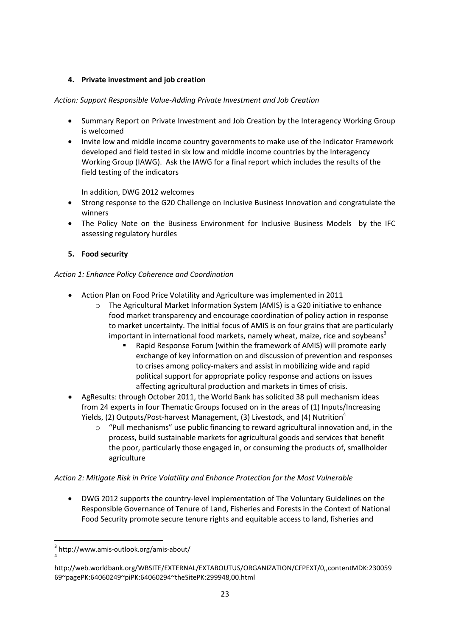## **4. Private investment and job creation**

## *Action: Support Responsible Value-Adding Private Investment and Job Creation*

- Summary Report on Private Investment and Job Creation by the Interagency Working Group is welcomed
- Invite low and middle income country governments to make use of the Indicator Framework developed and field tested in six low and middle income countries by the Interagency Working Group (IAWG). Ask the IAWG for a final report which includes the results of the field testing of the indicators

In addition, DWG 2012 welcomes

- Strong response to the G20 Challenge on Inclusive Business Innovation and congratulate the winners
- The Policy Note on the Business Environment for Inclusive Business Models by the IFC assessing regulatory hurdles

## **5. Food security**

## *Action 1: Enhance Policy Coherence and Coordination*

- Action Plan on Food Price Volatility and Agriculture was implemented in 2011
	- o The Agricultural Market Information System (AMIS) is a G20 initiative to enhance food market transparency and encourage coordination of policy action in response to market uncertainty. The initial focus of AMIS is on four grains that are particularly important in international food markets, namely wheat, maize, rice and soybeans<sup>3</sup>
		- Rapid Response Forum (within the framework of AMIS) will promote early exchange of key information on and discussion of prevention and responses to crises among policy-makers and assist in mobilizing wide and rapid political support for appropriate policy response and actions on issues affecting agricultural production and markets in times of crisis.
- AgResults: through October 2011, the World Bank has solicited 38 pull mechanism ideas from 24 experts in four Thematic Groups focused on in the areas of (1) Inputs/Increasing Yields, (2) Outputs/Post-harvest Management, (3) Livestock, and (4) Nutrition<sup>4</sup>
	- $\circ$  "Pull mechanisms" use public financing to reward agricultural innovation and, in the process, build sustainable markets for agricultural goods and services that benefit the poor, particularly those engaged in, or consuming the products of, smallholder agriculture

### *Action 2: Mitigate Risk in Price Volatility and Enhance Protection for the Most Vulnerable*

 DWG 2012 supports the country-level implementation of The Voluntary Guidelines on the Responsible Governance of Tenure of Land, Fisheries and Forests in the Context of National Food Security promote secure tenure rights and equitable access to land, fisheries and

**.** 

<sup>3</sup> http://www.amis-outlook.org/amis-about/ 4

http://web.worldbank.org/WBSITE/EXTERNAL/EXTABOUTUS/ORGANIZATION/CFPEXT/0,,contentMDK:230059 69~pagePK:64060249~piPK:64060294~theSitePK:299948,00.html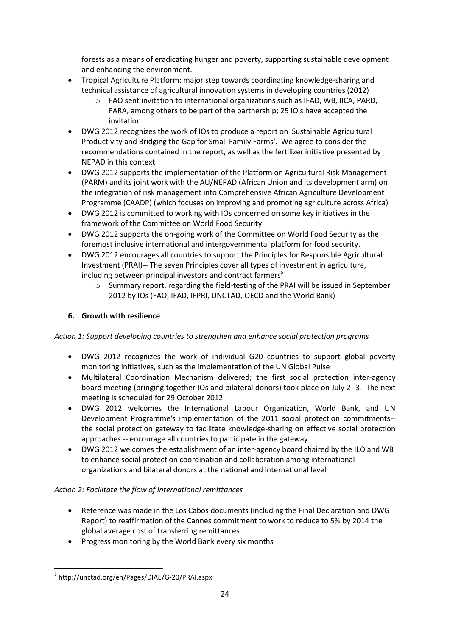forests as a means of eradicating hunger and poverty, supporting sustainable development and enhancing the environment.

- Tropical Agriculture Platform: major step towards coordinating knowledge-sharing and technical assistance of agricultural innovation systems in developing countries (2012)
	- o FAO sent invitation to international organizations such as IFAD, WB, IICA, PARD, FARA, among others to be part of the partnership; 25 IO's have accepted the invitation.
- DWG 2012 recognizes the work of IOs to produce a report on 'Sustainable Agricultural Productivity and Bridging the Gap for Small Family Farms'. We agree to consider the recommendations contained in the report, as well as the fertilizer initiative presented by NEPAD in this context
- DWG 2012 supports the implementation of the Platform on Agricultural Risk Management (PARM) and its joint work with the AU/NEPAD (African Union and its development arm) on the integration of risk management into Comprehensive African Agriculture Development Programme (CAADP) (which focuses on improving and promoting agriculture across Africa)
- DWG 2012 is committed to working with IOs concerned on some key initiatives in the framework of the Committee on World Food Security
- DWG 2012 supports the on-going work of the Committee on World Food Security as the foremost inclusive international and intergovernmental platform for food security.
- DWG 2012 encourages all countries to support the Principles for Responsible Agricultural Investment (PRAI)-- The seven Principles cover all types of investment in agriculture, including between principal investors and contract farmers<sup>5</sup>
	- o Summary report, regarding the field-testing of the PRAI will be issued in September 2012 by IOs (FAO, IFAD, IFPRI, UNCTAD, OECD and the World Bank)

# **6. Growth with resilience**

## *Action 1: Support developing countries to strengthen and enhance social protection programs*

- DWG 2012 recognizes the work of individual G20 countries to support global poverty monitoring initiatives, such as the Implementation of the UN Global Pulse
- Multilateral Coordination Mechanism delivered; the first social protection inter-agency board meeting (bringing together IOs and bilateral donors) took place on July 2 -3. The next meeting is scheduled for 29 October 2012
- DWG 2012 welcomes the International Labour Organization, World Bank, and UN Development Programme's implementation of the 2011 social protection commitments- the social protection gateway to facilitate knowledge-sharing on effective social protection approaches -- encourage all countries to participate in the gateway
- DWG 2012 welcomes the establishment of an inter-agency board chaired by the ILO and WB to enhance social protection coordination and collaboration among international organizations and bilateral donors at the national and international level

## *Action 2: Facilitate the flow of international remittances*

- Reference was made in the Los Cabos documents (including the Final Declaration and DWG Report) to reaffirmation of the Cannes commitment to work to reduce to 5% by 2014 the global average cost of transferring remittances
- Progress monitoring by the World Bank every six months

**<sup>.</sup>** 5 http://unctad.org/en/Pages/DIAE/G-20/PRAI.aspx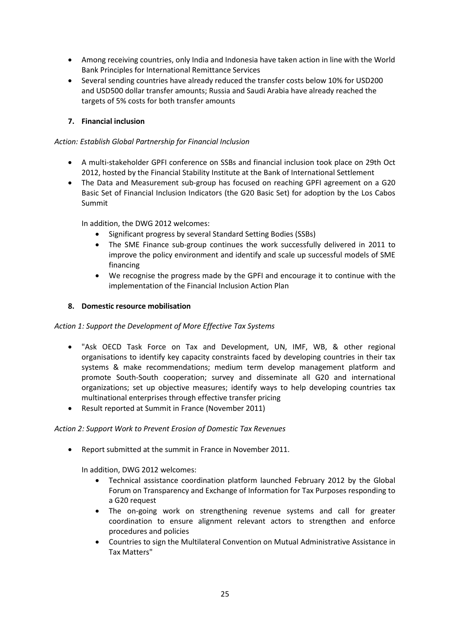- Among receiving countries, only India and Indonesia have taken action in line with the World Bank Principles for International Remittance Services
- Several sending countries have already reduced the transfer costs below 10% for USD200 and USD500 dollar transfer amounts; Russia and Saudi Arabia have already reached the targets of 5% costs for both transfer amounts

## **7. Financial inclusion**

#### *Action: Establish Global Partnership for Financial Inclusion*

- A multi-stakeholder GPFI conference on SSBs and financial inclusion took place on 29th Oct 2012, hosted by the Financial Stability Institute at the Bank of International Settlement
- The Data and Measurement sub-group has focused on reaching GPFI agreement on a G20 Basic Set of Financial Inclusion Indicators (the G20 Basic Set) for adoption by the Los Cabos Summit

In addition, the DWG 2012 welcomes:

- Significant progress by several Standard Setting Bodies (SSBs)
- The SME Finance sub-group continues the work successfully delivered in 2011 to improve the policy environment and identify and scale up successful models of SME financing
- We recognise the progress made by the GPFI and encourage it to continue with the implementation of the Financial Inclusion Action Plan

#### **8. Domestic resource mobilisation**

#### *Action 1: Support the Development of More Effective Tax Systems*

- "Ask OECD Task Force on Tax and Development, UN, IMF, WB, & other regional organisations to identify key capacity constraints faced by developing countries in their tax systems & make recommendations; medium term develop management platform and promote South-South cooperation; survey and disseminate all G20 and international organizations; set up objective measures; identify ways to help developing countries tax multinational enterprises through effective transfer pricing
- Result reported at Summit in France (November 2011)

#### *Action 2: Support Work to Prevent Erosion of Domestic Tax Revenues*

Report submitted at the summit in France in November 2011.

In addition, DWG 2012 welcomes:

- Technical assistance coordination platform launched February 2012 by the Global Forum on Transparency and Exchange of Information for Tax Purposes responding to a G20 request
- The on-going work on strengthening revenue systems and call for greater coordination to ensure alignment relevant actors to strengthen and enforce procedures and policies
- Countries to sign the Multilateral Convention on Mutual Administrative Assistance in Tax Matters"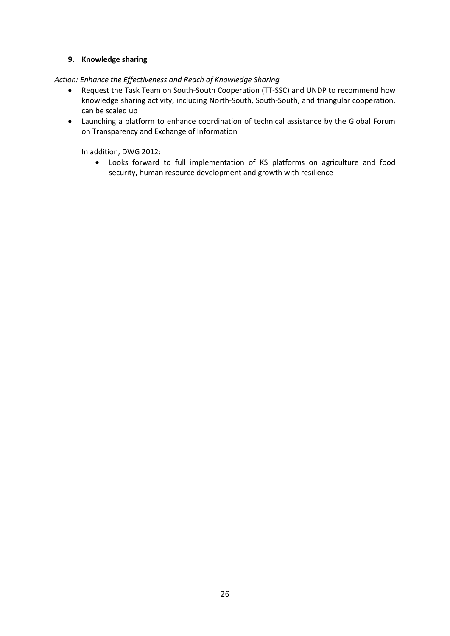### **9. Knowledge sharing**

*Action: Enhance the Effectiveness and Reach of Knowledge Sharing*

- Request the Task Team on South-South Cooperation (TT-SSC) and UNDP to recommend how knowledge sharing activity, including North-South, South-South, and triangular cooperation, can be scaled up
- Launching a platform to enhance coordination of technical assistance by the Global Forum on Transparency and Exchange of Information

In addition, DWG 2012:

 Looks forward to full implementation of KS platforms on agriculture and food security, human resource development and growth with resilience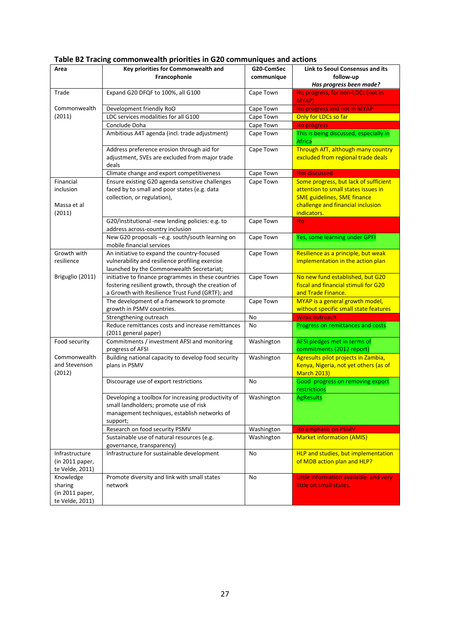| Area                              | Key priorities for Commonwealth and                                                                                                                       | G20-ComSec<br>Link to Seoul Consensus and its |                                                                           |  |  |
|-----------------------------------|-----------------------------------------------------------------------------------------------------------------------------------------------------------|-----------------------------------------------|---------------------------------------------------------------------------|--|--|
|                                   | Francophonie                                                                                                                                              | communique                                    | follow-up                                                                 |  |  |
|                                   |                                                                                                                                                           |                                               | Has progress been made?                                                   |  |  |
| Trade                             | Expand G20 DFQF to 100%, all G100                                                                                                                         | Cape Town                                     | No progress, for non-LDCs (not in<br>MYAP)                                |  |  |
| Commonwealth                      | Development friendly RoO                                                                                                                                  | Cape Town                                     | No progress and not in MYAP                                               |  |  |
| (2011)                            | LDC services modalities for all G100                                                                                                                      | Cape Town                                     | Only for LDCs so far                                                      |  |  |
|                                   | Conclude Doha                                                                                                                                             | Cape Town                                     | No progress                                                               |  |  |
|                                   | Ambitious A4T agenda (incl. trade adjustment)                                                                                                             | Cape Town                                     | This is being discussed, especially in<br><b>Africa</b>                   |  |  |
|                                   | Address preference erosion through aid for<br>adjustment, SVEs are excluded from major trade<br>deals                                                     | Cape Town                                     | Through AfT, although many country<br>excluded from regional trade deals  |  |  |
|                                   | Climate change and export competitiveness                                                                                                                 | Cape Town                                     | Not discussed                                                             |  |  |
| Financial                         | Ensure existing G20 agenda sensitive challenges                                                                                                           | Cape Town                                     | Some progress, but lack of sufficient                                     |  |  |
| inclusion                         | faced by to small and poor states (e.g. data<br>collection, or regulation),                                                                               |                                               | attention to small states issues in<br><b>SME guidelines, SME finance</b> |  |  |
| Massa et al<br>(2011)             |                                                                                                                                                           |                                               | challenge and financial inclusion<br>indicators.                          |  |  |
|                                   | G20/institutional -new lending policies: e.g. to<br>address across-country inclusion                                                                      | Cape Town                                     | <b>No</b>                                                                 |  |  |
|                                   | New G20 proposals -e.g. south/south learning on<br>mobile financial services                                                                              | Cape Town                                     | Yes, some learning under GPFI                                             |  |  |
| Growth with                       | An initiative to expand the country-focused                                                                                                               | Cape Town                                     | Resilience as a principle, but weak                                       |  |  |
| resilience                        | vulnerability and resilience profiling exercise                                                                                                           |                                               | implementation in the action plan                                         |  |  |
|                                   | launched by the Commonwealth Secretariat;                                                                                                                 |                                               |                                                                           |  |  |
| Briguglio (2011)                  | initiative to finance programmes in these countries                                                                                                       | Cape Town                                     | No new fund established, but G20                                          |  |  |
|                                   | fostering resilient growth, through the creation of                                                                                                       |                                               | fiscal and financial stimuli for G20                                      |  |  |
|                                   | a Growth with Resilience Trust Fund (GRTF); and                                                                                                           |                                               | and Trade Finance.                                                        |  |  |
|                                   | The development of a framework to promote                                                                                                                 | Cape Town                                     | MYAP is a general growth model,                                           |  |  |
|                                   | growth in PSMV countries.                                                                                                                                 |                                               | without specific small state features                                     |  |  |
|                                   | Strengthening outreach                                                                                                                                    | No                                            | <b>Weak outreach</b>                                                      |  |  |
|                                   | Reduce remittances costs and increase remittances<br>(2011 general paper)                                                                                 | No                                            | Progress on remittances and costs                                         |  |  |
| Food security                     | Commitments / investment AFSI and monitoring<br>progress of AFSI                                                                                          | Washington                                    | AFSI pledges met in terms of<br>commitments (2012 report)                 |  |  |
| Commonwealth                      | Building national capacity to develop food security                                                                                                       | Washington                                    | Agresults pilot projects in Zambia,                                       |  |  |
| and Stevenson<br>(2012)           | plans in PSMV                                                                                                                                             |                                               | Kenya, Nigeria, not yet others (as of<br><b>March 2013)</b>               |  |  |
|                                   | Discourage use of export restrictions                                                                                                                     | No                                            | Good progress on removing export<br>restrictions                          |  |  |
|                                   | Developing a toolbox for increasing productivity of<br>small landholders; promote use of risk<br>management techniques, establish networks of<br>support; | Washington                                    | <b>AgResults</b>                                                          |  |  |
|                                   | Research on food security PSMV                                                                                                                            | Washington                                    | No emphasis on PSMV                                                       |  |  |
|                                   | Sustainable use of natural resources (e.g.                                                                                                                | Washington                                    | <b>Market information (AMIS)</b>                                          |  |  |
|                                   | governance, transparency)                                                                                                                                 |                                               |                                                                           |  |  |
| Infrastructure<br>(in 2011 paper, | Infrastructure for sustainable development                                                                                                                | No                                            | HLP and studies, but implementation<br>of MDB action plan and HLP?        |  |  |
| te Velde, 2011)                   |                                                                                                                                                           |                                               |                                                                           |  |  |
| Knowledge                         | Promote diversity and link with small states                                                                                                              | No                                            | Little information available, and very                                    |  |  |
| sharing                           | network                                                                                                                                                   |                                               | little on small states.                                                   |  |  |
| (in 2011 paper,                   |                                                                                                                                                           |                                               |                                                                           |  |  |
| te Velde, 2011)                   |                                                                                                                                                           |                                               |                                                                           |  |  |

# **Table B2 Tracing commonwealth priorities in G20 communiques and actions**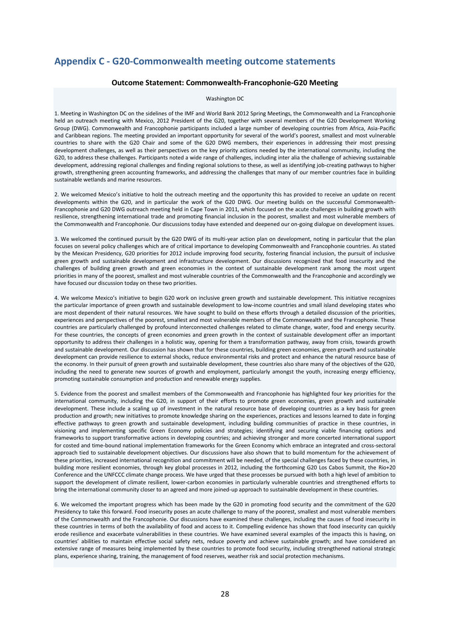# <span id="page-28-0"></span>**Appendix C - G20-Commonwealth meeting outcome statements**

#### **Outcome Statement: Commonwealth-Francophonie-G20 Meeting**

#### Washington DC

1. Meeting in Washington DC on the sidelines of the IMF and World Bank 2012 Spring Meetings, the Commonwealth and La Francophonie held an outreach meeting with Mexico, 2012 President of the G20, together with several members of the G20 Development Working Group (DWG). Commonwealth and Francophonie participants included a large number of developing countries from Africa, Asia-Pacific and Caribbean regions. The meeting provided an important opportunity for several of the world's poorest, smallest and most vulnerable countries to share with the G20 Chair and some of the G20 DWG members, their experiences in addressing their most pressing development challenges, as well as their perspectives on the key priority actions needed by the international community, including the G20, to address these challenges. Participants noted a wide range of challenges, including inter alia the challenge of achieving sustainable development, addressing regional challenges and finding regional solutions to these, as well as identifying job-creating pathways to higher growth, strengthening green accounting frameworks, and addressing the challenges that many of our member countries face in building sustainable wetlands and marine resources.

2. We welcomed Mexico's initiative to hold the outreach meeting and the opportunity this has provided to receive an update on recent developments within the G20, and in particular the work of the G20 DWG. Our meeting builds on the successful Commonwealth-Francophonie and G20 DWG outreach meeting held in Cape Town in 2011, which focused on the acute challenges in building growth with resilience, strengthening international trade and promoting financial inclusion in the poorest, smallest and most vulnerable members of the Commonwealth and Francophonie. Our discussions today have extended and deepened our on-going dialogue on development issues.

3. We welcomed the continued pursuit by the G20 DWG of its multi-year action plan on development, noting in particular that the plan focuses on several policy challenges which are of critical importance to developing Commonwealth and Francophonie countries. As stated by the Mexican Presidency, G20 priorities for 2012 include improving food security, fostering financial inclusion, the pursuit of inclusive green growth and sustainable development and infrastructure development. Our discussions recognized that food insecurity and the challenges of building green growth and green economies in the context of sustainable development rank among the most urgent priorities in many of the poorest, smallest and most vulnerable countries of the Commonwealth and the Francophonie and accordingly we have focused our discussion today on these two priorities.

4. We welcome Mexico's initiative to begin G20 work on inclusive green growth and sustainable development. This initiative recognizes the particular importance of green growth and sustainable development to low-income countries and small island developing states who are most dependent of their natural resources. We have sought to build on these efforts through a detailed discussion of the priorities, experiences and perspectives of the poorest, smallest and most vulnerable members of the Commonwealth and the Francophonie. These countries are particularly challenged by profound interconnected challenges related to climate change, water, food and energy security. For these countries, the concepts of green economies and green growth in the context of sustainable development offer an important opportunity to address their challenges in a holistic way, opening for them a transformation pathway, away from crisis, towards growth and sustainable development. Our discussion has shown that for these countries, building green economies, green growth and sustainable development can provide resilience to external shocks, reduce environmental risks and protect and enhance the natural resource base of the economy. In their pursuit of green growth and sustainable development, these countries also share many of the objectives of the G20, including the need to generate new sources of growth and employment, particularly amongst the youth, increasing energy efficiency, promoting sustainable consumption and production and renewable energy supplies.

5. Evidence from the poorest and smallest members of the Commonwealth and Francophonie has highlighted four key priorities for the international community, including the G20, in support of their efforts to promote green economies, green growth and sustainable development. These include a scaling up of investment in the natural resource base of developing countries as a key basis for green production and growth; new initiatives to promote knowledge sharing on the experiences, practices and lessons learned to date in forging effective pathways to green growth and sustainable development, including building communities of practice in these countries, in visioning and implementing specific Green Economy policies and strategies; identifying and securing viable financing options and frameworks to support transformative actions in developing countries; and achieving stronger and more concerted international support for costed and time-bound national implementation frameworks for the Green Economy which embrace an integrated and cross-sectoral approach tied to sustainable development objectives. Our discussions have also shown that to build momentum for the achievement of these priorities, increased international recognition and commitment will be needed, of the special challenges faced by these countries, in building more resilient economies, through key global processes in 2012, including the forthcoming G20 Los Cabos Summit, the Rio+20 Conference and the UNFCCC climate change process. We have urged that these processes be pursued with both a high level of ambition to support the development of climate resilient, lower-carbon economies in particularly vulnerable countries and strengthened efforts to bring the international community closer to an agreed and more joined-up approach to sustainable development in these countries.

6. We welcomed the important progress which has been made by the G20 in promoting food security and the commitment of the G20 Presidency to take this forward. Food insecurity poses an acute challenge to many of the poorest, smallest and most vulnerable members of the Commonwealth and the Francophonie. Our discussions have examined these challenges, including the causes of food insecurity in these countries in terms of both the availability of food and access to it. Compelling evidence has shown that food insecurity can quickly erode resilience and exacerbate vulnerabilities in these countries. We have examined several examples of the impacts this is having, on countries' abilities to maintain effective social safety nets, reduce poverty and achieve sustainable growth; and have considered an extensive range of measures being implemented by these countries to promote food security, including strengthened national strategic plans, experience sharing, training, the management of food reserves, weather risk and social protection mechanisms.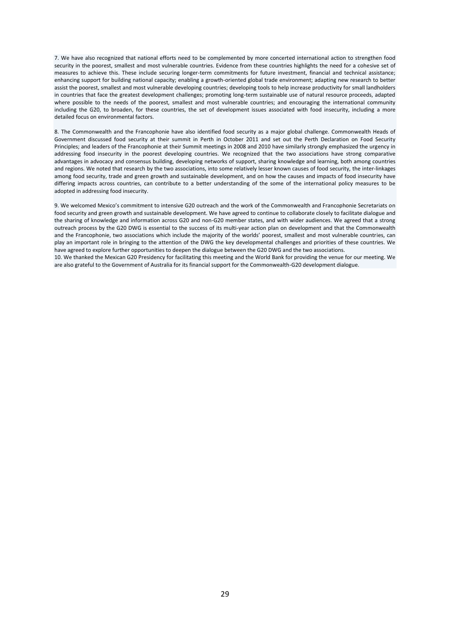7. We have also recognized that national efforts need to be complemented by more concerted international action to strengthen food security in the poorest, smallest and most vulnerable countries. Evidence from these countries highlights the need for a cohesive set of measures to achieve this. These include securing longer-term commitments for future investment, financial and technical assistance; enhancing support for building national capacity; enabling a growth-oriented global trade environment; adapting new research to better assist the poorest, smallest and most vulnerable developing countries; developing tools to help increase productivity for small landholders in countries that face the greatest development challenges; promoting long-term sustainable use of natural resource proceeds, adapted where possible to the needs of the poorest, smallest and most vulnerable countries; and encouraging the international community including the G20, to broaden, for these countries, the set of development issues associated with food insecurity, including a more detailed focus on environmental factors.

8. The Commonwealth and the Francophonie have also identified food security as a major global challenge. Commonwealth Heads of Government discussed food security at their summit in Perth in October 2011 and set out the Perth Declaration on Food Security Principles; and leaders of the Francophonie at their Summit meetings in 2008 and 2010 have similarly strongly emphasized the urgency in addressing food insecurity in the poorest developing countries. We recognized that the two associations have strong comparative advantages in advocacy and consensus building, developing networks of support, sharing knowledge and learning, both among countries and regions. We noted that research by the two associations, into some relatively lesser known causes of food security, the inter-linkages among food security, trade and green growth and sustainable development, and on how the causes and impacts of food insecurity have differing impacts across countries, can contribute to a better understanding of the some of the international policy measures to be adopted in addressing food insecurity.

9. We welcomed Mexico's commitment to intensive G20 outreach and the work of the Commonwealth and Francophonie Secretariats on food security and green growth and sustainable development. We have agreed to continue to collaborate closely to facilitate dialogue and the sharing of knowledge and information across G20 and non-G20 member states, and with wider audiences. We agreed that a strong outreach process by the G20 DWG is essential to the success of its multi-year action plan on development and that the Commonwealth and the Francophonie, two associations which include the majority of the worlds' poorest, smallest and most vulnerable countries, can play an important role in bringing to the attention of the DWG the key developmental challenges and priorities of these countries. We have agreed to explore further opportunities to deepen the dialogue between the G20 DWG and the two associations.

10. We thanked the Mexican G20 Presidency for facilitating this meeting and the World Bank for providing the venue for our meeting. We are also grateful to the Government of Australia for its financial support for the Commonwealth-G20 development dialogue.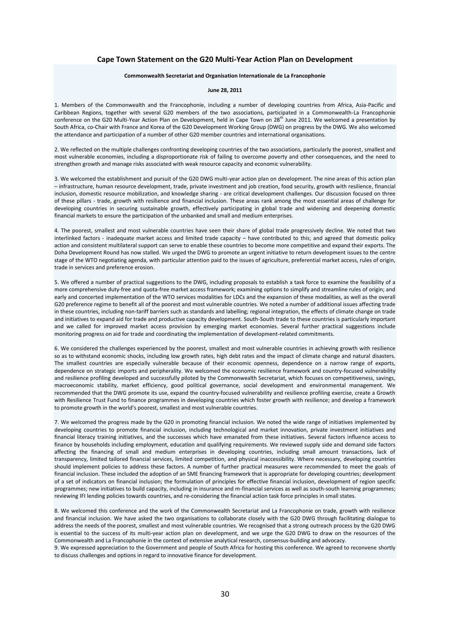#### **Cape Town Statement on the G20 Multi-Year Action Plan on Development**

#### **Commonwealth Secretariat and Organisation Internationale de La Francophonie**

#### **June 28, 2011**

1. Members of the Commonwealth and the Francophonie, including a number of developing countries from Africa, Asia-Pacific and Caribbean Regions, together with several G20 members of the two associations, participated in a Commonwealth-La Francophonie conference on the G20 Multi-Year Action Plan on Development, held in Cape Town on 28<sup>th</sup> June 2011. We welcomed a presentation by South Africa, co-Chair with France and Korea of the G20 Development Working Group (DWG) on progress by the DWG. We also welcomed the attendance and participation of a number of other G20 member countries and international organisations.

2. We reflected on the multiple challenges confronting developing countries of the two associations, particularly the poorest, smallest and most vulnerable economies, including a disproportionate risk of failing to overcome poverty and other consequences, and the need to strengthen growth and manage risks associated with weak resource capacity and economic vulnerability.

3. We welcomed the establishment and pursuit of the G20 DWG multi-year action plan on development. The nine areas of this action plan – infrastructure, human resource development, trade, private investment and job creation, food security, growth with resilience, financial inclusion, domestic resource mobilization, and knowledge sharing - are critical development challenges. Our discussion focused on three of these pillars - trade, growth with resilience and financial inclusion. These areas rank among the most essential areas of challenge for developing countries in securing sustainable growth, effectively participating in global trade and widening and deepening domestic financial markets to ensure the participation of the unbanked and small and medium enterprises.

4. The poorest, smallest and most vulnerable countries have seen their share of global trade progressively decline. We noted that two interlinked factors - inadequate market access and limited trade capacity – have contributed to this; and agreed that domestic policy action and consistent multilateral support can serve to enable these countries to become more competitive and expand their exports. The Doha Development Round has now stalled. We urged the DWG to promote an urgent initiative to return development issues to the centre stage of the WTO negotiating agenda, with particular attention paid to the issues of agriculture, preferential market access, rules of origin, trade in services and preference erosion.

5. We offered a number of practical suggestions to the DWG, including proposals to establish a task force to examine the feasibility of a more comprehensive duty-free and quota-free market access framework; examining options to simplify and streamline rules of origin; and early and concerted implementation of the WTO services modalities for LDCs and the expansion of these modalities, as well as the overall G20 preference regime to benefit all of the poorest and most vulnerable countries. We noted a number of additional issues affecting trade in these countries, including non-tariff barriers such as standards and labelling; regional integration, the effects of climate change on trade and initiatives to expand aid for trade and productive capacity development. South-South trade to these countries is particularly important and we called for improved market access provision by emerging market economies. Several further practical suggestions include monitoring progress on aid for trade and coordinating the implementation of development-related commitments.

6. We considered the challenges experienced by the poorest, smallest and most vulnerable countries in achieving growth with resilience so as to withstand economic shocks, including low growth rates, high debt rates and the impact of climate change and natural disasters. The smallest countries are especially vulnerable because of their economic openness, dependence on a narrow range of exports, dependence on strategic imports and peripherality. We welcomed the economic resilience framework and country-focused vulnerability and resilience profiling developed and successfully piloted by the Commonwealth Secretariat, which focuses on competitiveness, savings, macroeconomic stability, market efficiency, good political governance, social development and environmental management. We recommended that the DWG promote its use, expand the country-focused vulnerability and resilience profiling exercise, create a Growth with Resilience Trust Fund to finance programmes in developing countries which foster growth with resilience; and develop a framework to promote growth in the world's poorest, smallest and most vulnerable countries.

7. We welcomed the progress made by the G20 in promoting financial inclusion. We noted the wide range of initiatives implemented by developing countries to promote financial inclusion, including technological and market innovation, private investment initiatives and financial literacy training initiatives, and the successes which have emanated from these initiatives. Several factors influence access to finance by households including employment, education and qualifying requirements. We reviewed supply side and demand side factors affecting the financing of small and medium enterprises in developing countries, including small amount transactions, lack of transparency, limited tailored financial services, limited competition, and physical inaccessibility. Where necessary, developing countries should implement policies to address these factors. A number of further practical measures were recommended to meet the goals of financial inclusion. These included the adoption of an SME financing framework that is appropriate for developing countries; development of a set of indicators on financial inclusion; the formulation of principles for effective financial inclusion, development of region specific programmes; new initiatives to build capacity, including in insurance and m-financial services as well as south-south learning programmes; reviewing IFI lending policies towards countries, and re-considering the financial action task force principles in small states.

8. We welcomed this conference and the work of the Commonwealth Secretariat and La Francophonie on trade, growth with resilience and financial inclusion. We have asked the two organisations to collaborate closely with the G20 DWG through facilitating dialogue to address the needs of the poorest, smallest and most vulnerable countries. We recognised that a strong outreach process by the G20 DWG is essential to the success of its multi-year action plan on development, and we urge the G20 DWG to draw on the resources of the Commonwealth and La Francophonie in the context of extensive analytical research, consensus-building and advocacy.

9. We expressed appreciation to the Government and people of South Africa for hosting this conference. We agreed to reconvene shortly to discuss challenges and options in regard to innovative finance for development.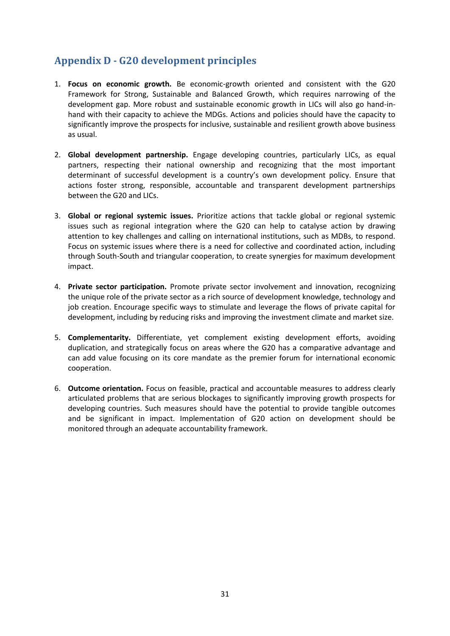# <span id="page-31-0"></span>**Appendix D - G20 development principles**

- 1. **Focus on economic growth.** Be economic-growth oriented and consistent with the G20 Framework for Strong, Sustainable and Balanced Growth, which requires narrowing of the development gap. More robust and sustainable economic growth in LICs will also go hand-inhand with their capacity to achieve the MDGs. Actions and policies should have the capacity to significantly improve the prospects for inclusive, sustainable and resilient growth above business as usual.
- 2. **Global development partnership.** Engage developing countries, particularly LICs, as equal partners, respecting their national ownership and recognizing that the most important determinant of successful development is a country's own development policy. Ensure that actions foster strong, responsible, accountable and transparent development partnerships between the G20 and LICs.
- 3. **Global or regional systemic issues.** Prioritize actions that tackle global or regional systemic issues such as regional integration where the G20 can help to catalyse action by drawing attention to key challenges and calling on international institutions, such as MDBs, to respond. Focus on systemic issues where there is a need for collective and coordinated action, including through South-South and triangular cooperation, to create synergies for maximum development impact.
- 4. **Private sector participation.** Promote private sector involvement and innovation, recognizing the unique role of the private sector as a rich source of development knowledge, technology and job creation. Encourage specific ways to stimulate and leverage the flows of private capital for development, including by reducing risks and improving the investment climate and market size.
- 5. **Complementarity.** Differentiate, yet complement existing development efforts, avoiding duplication, and strategically focus on areas where the G20 has a comparative advantage and can add value focusing on its core mandate as the premier forum for international economic cooperation.
- 6. **Outcome orientation.** Focus on feasible, practical and accountable measures to address clearly articulated problems that are serious blockages to significantly improving growth prospects for developing countries. Such measures should have the potential to provide tangible outcomes and be significant in impact. Implementation of G20 action on development should be monitored through an adequate accountability framework.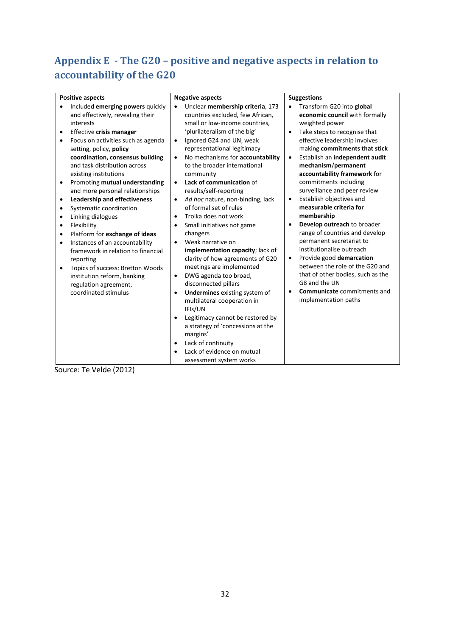# <span id="page-32-0"></span>**Appendix E - The G20 – positive and negative aspects in relation to accountability of the G20**

| <b>Positive aspects</b>                                                                                                                                                                                                                                                                                                                                                                                                                                                                                                                                                                                                                                                                                                                                                                                                | <b>Negative aspects</b>                                                                                                                                                                                                                                                                                                                                                                                                                                                                                                                                                                                                                                                                                                                                                                                           | <b>Suggestions</b>                                                                                                                                                                                                                                                                                                                                                                                                                                                                                                                                                                                                                                                                                                                                                      |  |  |  |
|------------------------------------------------------------------------------------------------------------------------------------------------------------------------------------------------------------------------------------------------------------------------------------------------------------------------------------------------------------------------------------------------------------------------------------------------------------------------------------------------------------------------------------------------------------------------------------------------------------------------------------------------------------------------------------------------------------------------------------------------------------------------------------------------------------------------|-------------------------------------------------------------------------------------------------------------------------------------------------------------------------------------------------------------------------------------------------------------------------------------------------------------------------------------------------------------------------------------------------------------------------------------------------------------------------------------------------------------------------------------------------------------------------------------------------------------------------------------------------------------------------------------------------------------------------------------------------------------------------------------------------------------------|-------------------------------------------------------------------------------------------------------------------------------------------------------------------------------------------------------------------------------------------------------------------------------------------------------------------------------------------------------------------------------------------------------------------------------------------------------------------------------------------------------------------------------------------------------------------------------------------------------------------------------------------------------------------------------------------------------------------------------------------------------------------------|--|--|--|
| Included emerging powers quickly<br>$\bullet$<br>and effectively, revealing their<br>interests<br>Effective crisis manager<br>Focus on activities such as agenda<br>$\bullet$<br>setting, policy, policy<br>coordination, consensus building<br>and task distribution across<br>existing institutions<br>Promoting mutual understanding<br>$\bullet$<br>and more personal relationships<br><b>Leadership and effectiveness</b><br>$\bullet$<br>Systematic coordination<br>$\bullet$<br>Linking dialogues<br>$\bullet$<br>Flexibility<br>$\bullet$<br>Platform for exchange of ideas<br>$\bullet$<br>Instances of an accountability<br>$\bullet$<br>framework in relation to financial<br>reporting<br>Topics of success: Bretton Woods<br>institution reform, banking<br>regulation agreement,<br>coordinated stimulus | Unclear membership criteria, 173<br>$\bullet$<br>countries excluded, few African,<br>small or low-income countries,<br>'plurilateralism of the big'<br>Ignored G24 and UN, weak<br>$\bullet$<br>representational legitimacy<br>No mechanisms for accountability<br>$\bullet$<br>to the broader international<br>community<br>Lack of communication of<br>$\bullet$<br>results/self-reporting<br>Ad hoc nature, non-binding, lack<br>$\bullet$<br>of formal set of rules<br>Troika does not work<br>$\bullet$<br>Small initiatives not game<br>٠<br>changers<br>Weak narrative on<br>implementation capacity; lack of<br>clarity of how agreements of G20<br>meetings are implemented<br>DWG agenda too broad,<br>٠<br>disconnected pillars<br><b>Undermines</b> existing system of<br>multilateral cooperation in | Transform G20 into global<br>$\bullet$<br>economic council with formally<br>weighted power<br>Take steps to recognise that<br>effective leadership involves<br>making commitments that stick<br>Establish an independent audit<br>$\bullet$<br>mechanism/permanent<br>accountability framework for<br>commitments including<br>surveillance and peer review<br>Establish objectives and<br>$\bullet$<br>measurable criteria for<br>membership<br>Develop outreach to broader<br>range of countries and develop<br>permanent secretariat to<br>institutionalise outreach<br>Provide good demarcation<br>$\bullet$<br>between the role of the G20 and<br>that of other bodies, such as the<br>G8 and the UN<br><b>Communicate</b> commitments and<br>implementation paths |  |  |  |
|                                                                                                                                                                                                                                                                                                                                                                                                                                                                                                                                                                                                                                                                                                                                                                                                                        | IFIs/UN<br>Legitimacy cannot be restored by<br>$\bullet$<br>a strategy of 'concessions at the<br>margins'<br>Lack of continuity<br>٠<br>Lack of evidence on mutual<br>$\bullet$<br>assessment system works                                                                                                                                                                                                                                                                                                                                                                                                                                                                                                                                                                                                        |                                                                                                                                                                                                                                                                                                                                                                                                                                                                                                                                                                                                                                                                                                                                                                         |  |  |  |

Source: Te Velde (2012)